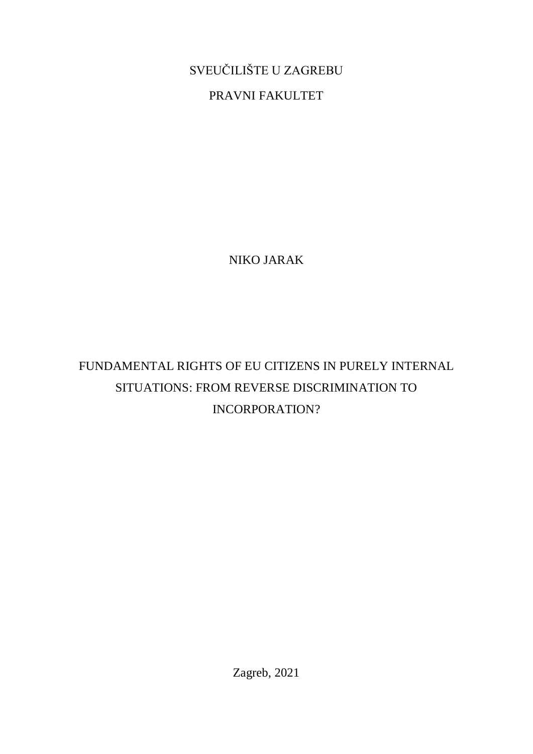SVEUČILIŠTE U ZAGREBU

PRAVNI FAKULTET

NIKO JARAK

FUNDAMENTAL RIGHTS OF EU CITIZENS IN PURELY INTERNAL SITUATIONS: FROM REVERSE DISCRIMINATION TO INCORPORATION?

Zagreb, 2021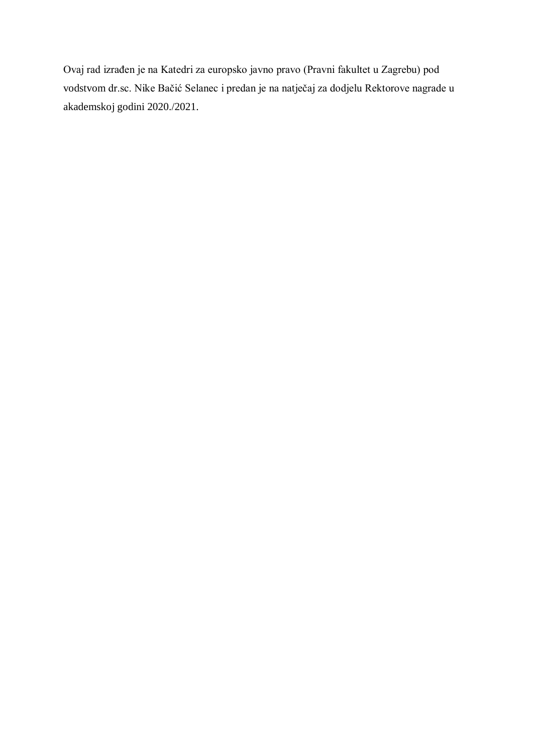Ovaj rad izrađen je na Katedri za europsko javno pravo (Pravni fakultet u Zagrebu) pod vodstvom dr.sc. Nike Bačić Selanec i predan je na natječaj za dodjelu Rektorove nagrade u akademskoj godini 2020./2021.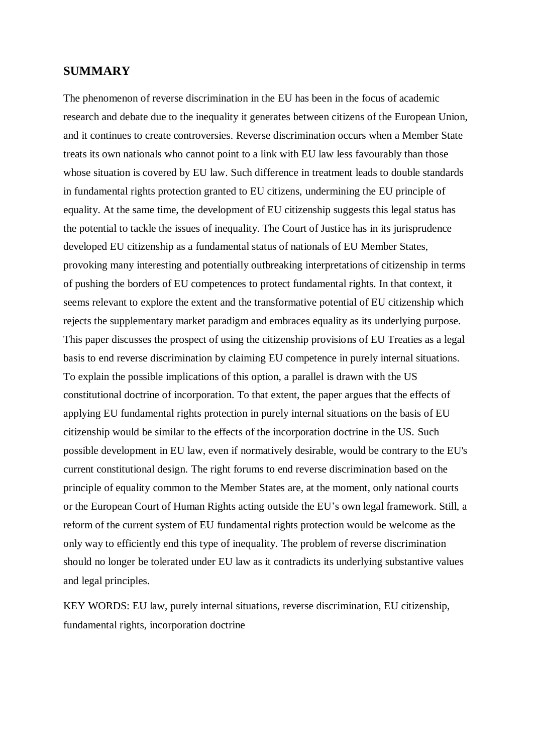#### **SUMMARY**

The phenomenon of reverse discrimination in the EU has been in the focus of academic research and debate due to the inequality it generates between citizens of the European Union, and it continues to create controversies. Reverse discrimination occurs when a Member State treats its own nationals who cannot point to a link with EU law less favourably than those whose situation is covered by EU law. Such difference in treatment leads to double standards in fundamental rights protection granted to EU citizens, undermining the EU principle of equality. At the same time, the development of EU citizenship suggests this legal status has the potential to tackle the issues of inequality. The Court of Justice has in its jurisprudence developed EU citizenship as a fundamental status of nationals of EU Member States, provoking many interesting and potentially outbreaking interpretations of citizenship in terms of pushing the borders of EU competences to protect fundamental rights. In that context, it seems relevant to explore the extent and the transformative potential of EU citizenship which rejects the supplementary market paradigm and embraces equality as its underlying purpose. This paper discusses the prospect of using the citizenship provisions of EU Treaties as a legal basis to end reverse discrimination by claiming EU competence in purely internal situations. To explain the possible implications of this option, a parallel is drawn with the US constitutional doctrine of incorporation. To that extent, the paper argues that the effects of applying EU fundamental rights protection in purely internal situations on the basis of EU citizenship would be similar to the effects of the incorporation doctrine in the US. Such possible development in EU law, even if normatively desirable, would be contrary to the EU's current constitutional design. The right forums to end reverse discrimination based on the principle of equality common to the Member States are, at the moment, only national courts or the European Court of Human Rights acting outside the EU's own legal framework. Still, a reform of the current system of EU fundamental rights protection would be welcome as the only way to efficiently end this type of inequality. The problem of reverse discrimination should no longer be tolerated under EU law as it contradicts its underlying substantive values and legal principles.

KEY WORDS: EU law, purely internal situations, reverse discrimination, EU citizenship, fundamental rights, incorporation doctrine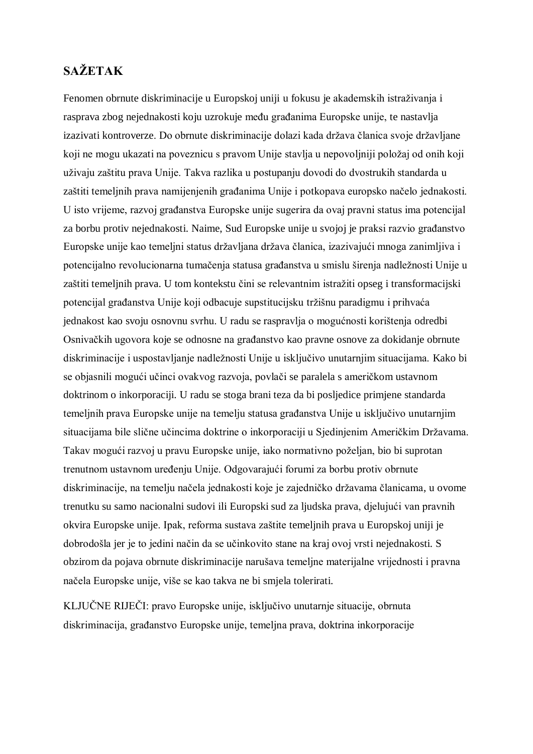# **SAŽETAK**

Fenomen obrnute diskriminacije u Europskoj uniji u fokusu je akademskih istraživanja i rasprava zbog nejednakosti koju uzrokuje među građanima Europske unije, te nastavlja izazivati kontroverze. Do obrnute diskriminacije dolazi kada država članica svoje državljane koji ne mogu ukazati na poveznicu s pravom Unije stavlja u nepovoljniji položaj od onih koji uživaju zaštitu prava Unije. Takva razlika u postupanju dovodi do dvostrukih standarda u zaštiti temeljnih prava namijenjenih građanima Unije i potkopava europsko načelo jednakosti. U isto vrijeme, razvoj građanstva Europske unije sugerira da ovaj pravni status ima potencijal za borbu protiv nejednakosti. Naime, Sud Europske unije u svojoj je praksi razvio građanstvo Europske unije kao temeljni status državljana država članica, izazivajući mnoga zanimljiva i potencijalno revolucionarna tumačenja statusa građanstva u smislu širenja nadležnosti Unije u zaštiti temeljnih prava. U tom kontekstu čini se relevantnim istražiti opseg i transformacijski potencijal građanstva Unije koji odbacuje supstitucijsku tržišnu paradigmu i prihvaća jednakost kao svoju osnovnu svrhu. U radu se raspravlja o mogućnosti korištenja odredbi Osnivačkih ugovora koje se odnosne na građanstvo kao pravne osnove za dokidanje obrnute diskriminacije i uspostavljanje nadležnosti Unije u isključivo unutarnjim situacijama. Kako bi se objasnili mogući učinci ovakvog razvoja, povlači se paralela s američkom ustavnom doktrinom o inkorporaciji. U radu se stoga brani teza da bi posljedice primjene standarda temeljnih prava Europske unije na temelju statusa građanstva Unije u isključivo unutarnjim situacijama bile slične učincima doktrine o inkorporaciji u Sjedinjenim Američkim Državama. Takav mogući razvoj u pravu Europske unije, iako normativno poželjan, bio bi suprotan trenutnom ustavnom uređenju Unije. Odgovarajući forumi za borbu protiv obrnute diskriminacije, na temelju načela jednakosti koje je zajedničko državama članicama, u ovome trenutku su samo nacionalni sudovi ili Europski sud za ljudska prava, djelujući van pravnih okvira Europske unije. Ipak, reforma sustava zaštite temeljnih prava u Europskoj uniji je dobrodošla jer je to jedini način da se učinkovito stane na kraj ovoj vrsti nejednakosti. S obzirom da pojava obrnute diskriminacije narušava temeljne materijalne vrijednosti i pravna načela Europske unije, više se kao takva ne bi smjela tolerirati.

KLJUČNE RIJEČI: pravo Europske unije, isključivo unutarnje situacije, obrnuta diskriminacija, građanstvo Europske unije, temeljna prava, doktrina inkorporacije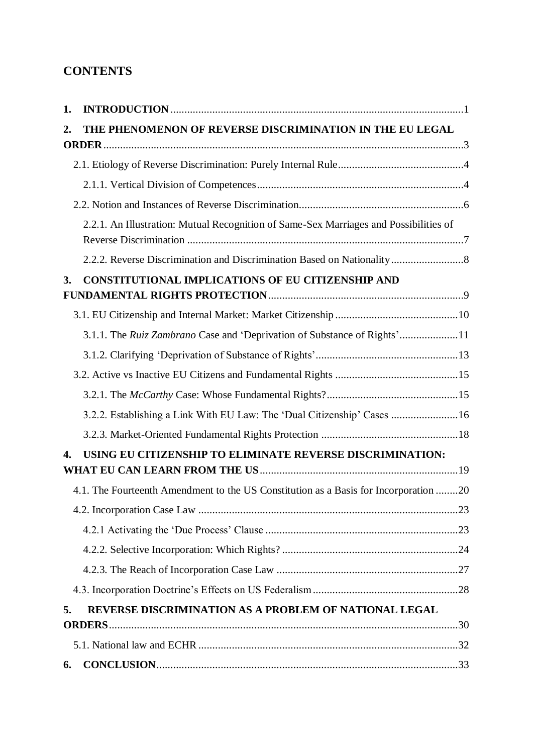# **CONTENTS**

| 1. |                                                                                       |  |
|----|---------------------------------------------------------------------------------------|--|
| 2. | THE PHENOMENON OF REVERSE DISCRIMINATION IN THE EU LEGAL                              |  |
|    |                                                                                       |  |
|    |                                                                                       |  |
|    |                                                                                       |  |
|    | 2.2.1. An Illustration: Mutual Recognition of Same-Sex Marriages and Possibilities of |  |
|    |                                                                                       |  |
| 3. | <b>CONSTITUTIONAL IMPLICATIONS OF EU CITIZENSHIP AND</b>                              |  |
|    |                                                                                       |  |
|    |                                                                                       |  |
|    | 3.1.1. The Ruiz Zambrano Case and 'Deprivation of Substance of Rights'11              |  |
|    |                                                                                       |  |
|    |                                                                                       |  |
|    |                                                                                       |  |
|    | 3.2.2. Establishing a Link With EU Law: The 'Dual Citizenship' Cases 16               |  |
|    |                                                                                       |  |
| 4. | USING EU CITIZENSHIP TO ELIMINATE REVERSE DISCRIMINATION:                             |  |
|    | 4.1. The Fourteenth Amendment to the US Constitution as a Basis for Incorporation 20  |  |
|    |                                                                                       |  |
|    |                                                                                       |  |
|    |                                                                                       |  |
|    |                                                                                       |  |
|    |                                                                                       |  |
| 5. | REVERSE DISCRIMINATION AS A PROBLEM OF NATIONAL LEGAL                                 |  |
|    | <b>ORDERS</b>                                                                         |  |
|    |                                                                                       |  |
| 6. |                                                                                       |  |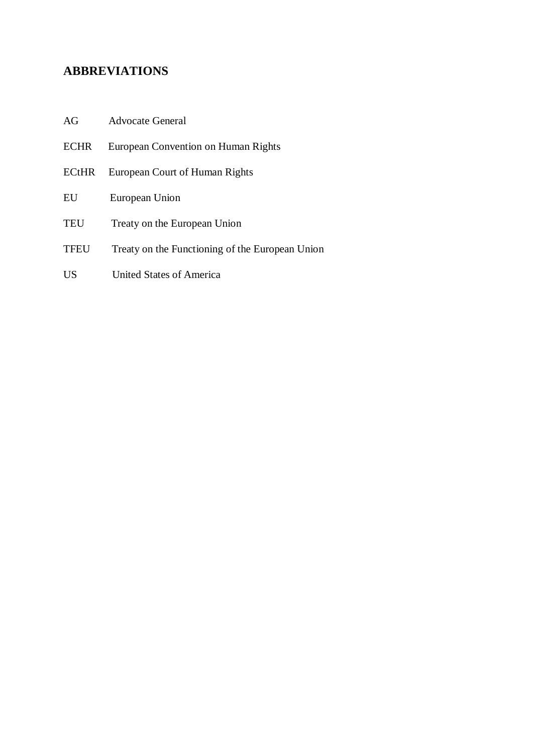## **ABBREVIATIONS**

- AG Advocate General
- ECHR European Convention on Human Rights
- ECtHR European Court of Human Rights
- EU European Union
- TEU Treaty on the European Union
- TFEU Treaty on the Functioning of the European Union
- US United States of America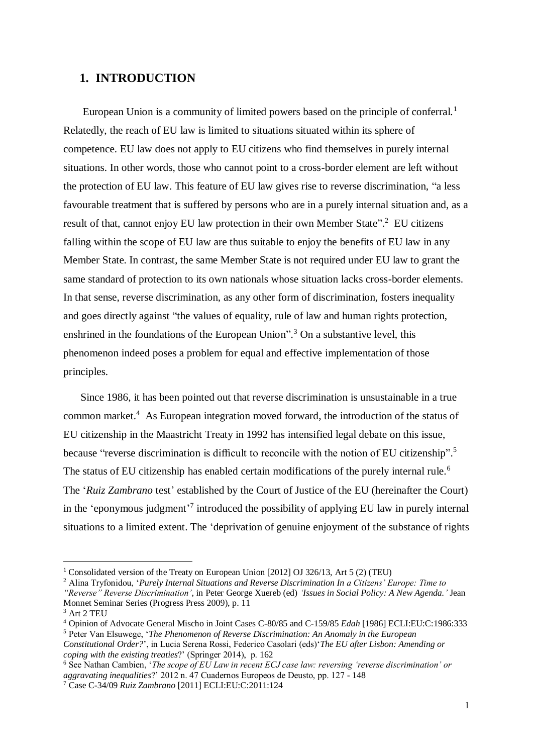### <span id="page-7-0"></span>**1. INTRODUCTION**

European Union is a community of limited powers based on the principle of conferral.<sup>1</sup> Relatedly, the reach of EU law is limited to situations situated within its sphere of competence. EU law does not apply to EU citizens who find themselves in purely internal situations. In other words, those who cannot point to a cross-border element are left without the protection of EU law. This feature of EU law gives rise to reverse discrimination, "a less favourable treatment that is suffered by persons who are in a purely internal situation and, as a result of that, cannot enjoy EU law protection in their own Member State".<sup>2</sup> EU citizens falling within the scope of EU law are thus suitable to enjoy the benefits of EU law in any Member State. In contrast, the same Member State is not required under EU law to grant the same standard of protection to its own nationals whose situation lacks cross-border elements. In that sense, reverse discrimination, as any other form of discrimination, fosters inequality and goes directly against "the values of equality, rule of law and human rights protection, enshrined in the foundations of the European Union".<sup>3</sup> On a substantive level, this phenomenon indeed poses a problem for equal and effective implementation of those principles.

 Since 1986, it has been pointed out that reverse discrimination is unsustainable in a true common market.<sup>4</sup> As European integration moved forward, the introduction of the status of EU citizenship in the Maastricht Treaty in 1992 has intensified legal debate on this issue, because "reverse discrimination is difficult to reconcile with the notion of EU citizenship".<sup>5</sup> The status of EU citizenship has enabled certain modifications of the purely internal rule.<sup>6</sup> The '*Ruiz Zambrano* test' established by the Court of Justice of the EU (hereinafter the Court) in the 'eponymous judgment'<sup>7</sup> introduced the possibility of applying EU law in purely internal situations to a limited extent. The 'deprivation of genuine enjoyment of the substance of rights

<sup>1</sup> Consolidated version of the Treaty on European Union [2012] OJ 326/13, Art 5 (2) (TEU)

<sup>2</sup> Alina Tryfonidou, '*Purely Internal Situations and Reverse Discrimination In a Citizens' Europe: Time to* 

*<sup>&</sup>quot;Reverse" Reverse Discrimination'*, in Peter George Xuereb (ed) *'Issues in Social Policy: A New Agenda.'* Jean Monnet Seminar Series (Progress Press 2009), p. 11

<sup>3</sup> Art 2 TEU

<sup>4</sup> Opinion of Advocate General Mischo in Joint Cases C-80/85 and C-159/85 *Edah* [1986] ECLI:EU:C:1986:333

<sup>5</sup> Peter Van Elsuwege, '*The Phenomenon of Reverse Discrimination: An Anomaly in the European* 

*Constitutional Order?*', in Lucia Serena Rossi, Federico Casolari (eds)'*The EU after Lisbon: Amending or coping with the existing treaties*?' (Springer 2014), p. 162

<sup>6</sup> See Nathan Cambien, '*The scope of EU Law in recent ECJ case law: reversing 'reverse discrimination' or aggravating inequalities*?' 2012 n. 47 Cuadernos Europeos de Deusto, pp. 127 - 148

<sup>7</sup> Case C-34/09 *Ruiz Zambrano* [2011] ECLI:EU:C:2011:124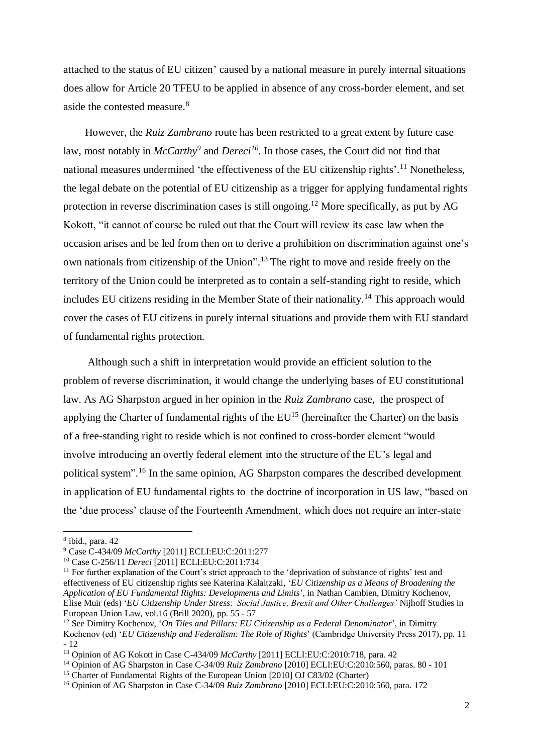attached to the status of EU citizen' caused by a national measure in purely internal situations does allow for Article 20 TFEU to be applied in absence of any cross-border element, and set aside the contested measure.<sup>8</sup>

 However, the *Ruiz Zambrano* route has been restricted to a great extent by future case law, most notably in *McCarthy<sup>9</sup>* and *Dereci<sup>10</sup> .* In those cases, the Court did not find that national measures undermined 'the effectiveness of the EU citizenship rights'.<sup>11</sup> Nonetheless, the legal debate on the potential of EU citizenship as a trigger for applying fundamental rights protection in reverse discrimination cases is still ongoing.<sup>12</sup> More specifically, as put by AG Kokott, "it cannot of course be ruled out that the Court will review its case law when the occasion arises and be led from then on to derive a prohibition on discrimination against one's own nationals from citizenship of the Union".<sup>13</sup> The right to move and reside freely on the territory of the Union could be interpreted as to contain a self-standing right to reside, which includes EU citizens residing in the Member State of their nationality.<sup>14</sup> This approach would cover the cases of EU citizens in purely internal situations and provide them with EU standard of fundamental rights protection.

 Although such a shift in interpretation would provide an efficient solution to the problem of reverse discrimination, it would change the underlying bases of EU constitutional law. As AG Sharpston argued in her opinion in the *Ruiz Zambrano* case, the prospect of applying the Charter of fundamental rights of the  $EU^{15}$  (hereinafter the Charter) on the basis of a free-standing right to reside which is not confined to cross-border element "would involve introducing an overtly federal element into the structure of the EU's legal and political system".<sup>16</sup> In the same opinion, AG Sharpston compares the described development in application of EU fundamental rights to the doctrine of incorporation in US law, "based on the 'due process' clause of the Fourteenth Amendment, which does not require an inter-state

-

<sup>13</sup> Opinion of AG Kokott in Case C-434/09 *McCarthy* [2011] ECLI:EU:C:2010:718, para. 42

<sup>14</sup> Opinion of AG Sharpston in Case C-34/09 *Ruiz Zambrano* [2010] ECLI:EU:C:2010:560, paras. 80 - 101

<sup>15</sup> Charter of Fundamental Rights of the European Union [2010] OJ C83/02 (Charter)

<sup>8</sup> ibid., para. 42

<sup>9</sup> Case C-434/09 *McCarthy* [2011] ECLI:EU:C:2011:277

<sup>10</sup> Case C-256/11 *Dereci* [2011] ECLI:EU:C:2011:734

<sup>&</sup>lt;sup>11</sup> For further explanation of the Court's strict approach to the 'deprivation of substance of rights' test and effectiveness of EU citizenship rights see Katerina Kalaitzaki, '*EU Citizenship as a Means of Broadening the Application of EU Fundamental Rights: Developments and Limits*', in Nathan Cambien, Dimitry Kochenov, Elise Muir (eds) '*EU Citizenship Under Stress: Social Justice, Brexit and Other Challenges'* Nijhoff Studies in European Union Law, vol.16 (Brill 2020), pp. 55 - 57

<sup>12</sup> See Dimitry Kochenov, '*On Tiles and Pillars: EU Citizenship as a Federal Denominator*', in Dimitry Kochenov (ed) '*EU Citizenship and Federalism: The Role of Rights*' (Cambridge University Press 2017), pp. 11  $-12$ 

<sup>16</sup> Opinion of AG Sharpston in Case C-34/09 *Ruiz Zambrano* [2010] ECLI:EU:C:2010:560, para. 172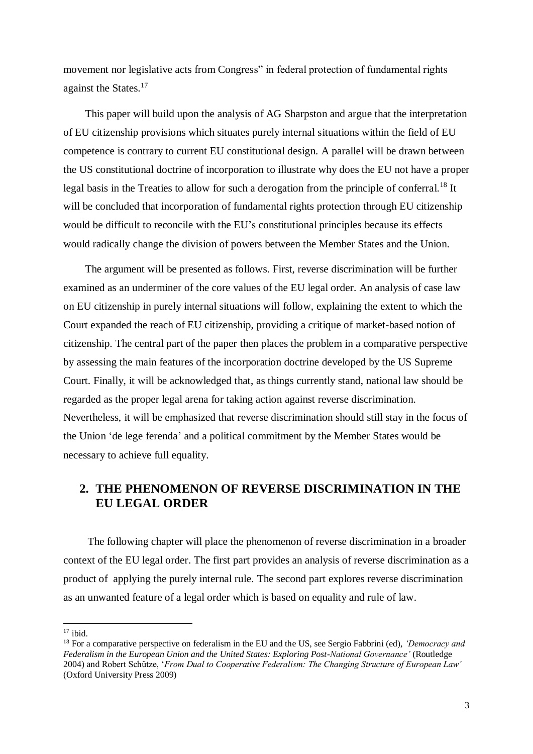movement nor legislative acts from Congress" in federal protection of fundamental rights against the States.<sup>17</sup>

 This paper will build upon the analysis of AG Sharpston and argue that the interpretation of EU citizenship provisions which situates purely internal situations within the field of EU competence is contrary to current EU constitutional design. A parallel will be drawn between the US constitutional doctrine of incorporation to illustrate why does the EU not have a proper legal basis in the Treaties to allow for such a derogation from the principle of conferral.<sup>18</sup> It will be concluded that incorporation of fundamental rights protection through EU citizenship would be difficult to reconcile with the EU's constitutional principles because its effects would radically change the division of powers between the Member States and the Union.

 The argument will be presented as follows. First, reverse discrimination will be further examined as an underminer of the core values of the EU legal order. An analysis of case law on EU citizenship in purely internal situations will follow, explaining the extent to which the Court expanded the reach of EU citizenship, providing a critique of market-based notion of citizenship. The central part of the paper then places the problem in a comparative perspective by assessing the main features of the incorporation doctrine developed by the US Supreme Court. Finally, it will be acknowledged that, as things currently stand, national law should be regarded as the proper legal arena for taking action against reverse discrimination. Nevertheless, it will be emphasized that reverse discrimination should still stay in the focus of the Union 'de lege ferenda' and a political commitment by the Member States would be necessary to achieve full equality.

### <span id="page-9-0"></span>**2. THE PHENOMENON OF REVERSE DISCRIMINATION IN THE EU LEGAL ORDER**

 The following chapter will place the phenomenon of reverse discrimination in a broader context of the EU legal order. The first part provides an analysis of reverse discrimination as a product of applying the purely internal rule. The second part explores reverse discrimination as an unwanted feature of a legal order which is based on equality and rule of law.

 $17$  ibid.

<sup>18</sup> For a comparative perspective on federalism in the EU and the US, see Sergio Fabbrini (ed), *'Democracy and Federalism in the European Union and the United States: Exploring Post-National Governance'* (Routledge 2004) and Robert Schütze, '*From Dual to Cooperative Federalism: The Changing Structure of European Law'* (Oxford University Press 2009)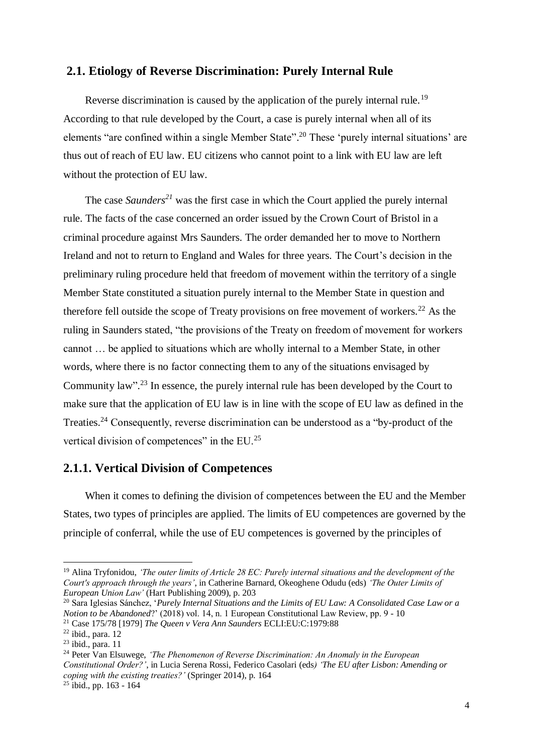#### <span id="page-10-0"></span>**2.1. Etiology of Reverse Discrimination: Purely Internal Rule**

Reverse discrimination is caused by the application of the purely internal rule.<sup>19</sup> According to that rule developed by the Court, a case is purely internal when all of its elements "are confined within a single Member State".<sup>20</sup> These 'purely internal situations' are thus out of reach of EU law. EU citizens who cannot point to a link with EU law are left without the protection of EU law.

 The case *Saunders<sup>21</sup>* was the first case in which the Court applied the purely internal rule. The facts of the case concerned an order issued by the Crown Court of Bristol in a criminal procedure against Mrs Saunders. The order demanded her to move to Northern Ireland and not to return to England and Wales for three years. The Court's decision in the preliminary ruling procedure held that freedom of movement within the territory of a single Member State constituted a situation purely internal to the Member State in question and therefore fell outside the scope of Treaty provisions on free movement of workers.<sup>22</sup> As the ruling in Saunders stated, "the provisions of the Treaty on freedom of movement for workers cannot … be applied to situations which are wholly internal to a Member State, in other words, where there is no factor connecting them to any of the situations envisaged by Community law"<sup>23</sup>. In essence, the purely internal rule has been developed by the Court to make sure that the application of EU law is in line with the scope of EU law as defined in the Treaties.<sup>24</sup> Consequently, reverse discrimination can be understood as a "by-product of the vertical division of competences" in the EU.<sup>25</sup>

### <span id="page-10-1"></span>**2.1.1. Vertical Division of Competences**

 When it comes to defining the division of competences between the EU and the Member States, two types of principles are applied. The limits of EU competences are governed by the principle of conferral, while the use of EU competences is governed by the principles of

<sup>19</sup> Alina Tryfonidou, *'The outer limits of Article 28 EC: Purely internal situations and the development of the Court's approach through the years'*, in Catherine Barnard, Okeoghene Odudu (eds) *'The Outer Limits of European Union Law'* (Hart Publishing 2009), p. 203

<sup>20</sup> Sara Iglesias Sánchez, '*Purely Internal Situations and the Limits of EU Law: A Consolidated Case Law or a Notion to be Abandoned*?' (2018) vol. 14, n. 1 European Constitutional Law Review, pp. 9 - 10 <sup>21</sup> Case 175/78 [1979] *The Queen v Vera Ann Saunders* ECLI:EU:C:1979:88

 $22$  ibid., para. 12

 $23$  ibid., para. 11

<sup>24</sup> Peter Van Elsuwege, *'The Phenomenon of Reverse Discrimination: An Anomaly in the European Constitutional Order?'*, in Lucia Serena Rossi, Federico Casolari (eds*) 'The EU after Lisbon: Amending or coping with the existing treaties?'* (Springer 2014), p. 164

 $25$  ibid., pp. 163 - 164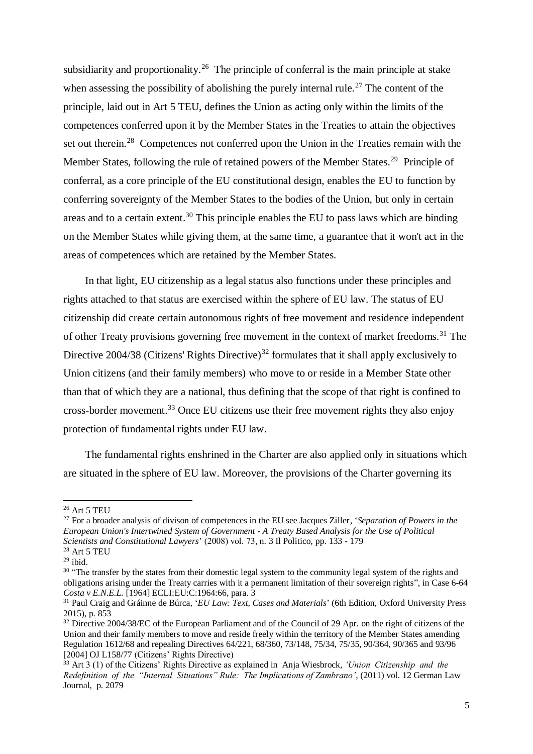subsidiarity and proportionality.<sup>26</sup> The principle of conferral is the main principle at stake when assessing the possibility of abolishing the purely internal rule.<sup>27</sup> The content of the principle, laid out in Art 5 TEU, defines the Union as acting only within the limits of the competences conferred upon it by the Member States in the Treaties to attain the objectives set out therein.<sup>28</sup> Competences not conferred upon the Union in the Treaties remain with the Member States, following the rule of retained powers of the Member States.<sup>29</sup> Principle of conferral, as a core principle of the EU constitutional design, enables the EU to function by conferring sovereignty of the Member States to the bodies of the Union, but only in certain areas and to a certain extent.<sup>30</sup> This principle enables the EU to pass laws which are binding on the Member States while giving them, at the same time, a guarantee that it won't act in the areas of competences which are retained by the Member States.

 In that light, EU citizenship as a legal status also functions under these principles and rights attached to that status are exercised within the sphere of EU law. The status of EU citizenship did create certain autonomous rights of free movement and residence independent of other Treaty provisions governing free movement in the context of market freedoms.<sup>31</sup> The Directive  $2004/38$  (Citizens' Rights Directive)<sup>32</sup> formulates that it shall apply exclusively to Union citizens (and their family members) who move to or reside in a Member State other than that of which they are a national, thus defining that the scope of that right is confined to cross-border movement.<sup>33</sup> Once EU citizens use their free movement rights they also enjoy protection of fundamental rights under EU law.

 The fundamental rights enshrined in the Charter are also applied only in situations which are situated in the sphere of EU law. Moreover, the provisions of the Charter governing its

<sup>26</sup> Art 5 TEU

<sup>27</sup> For a broader analysis of divison of competences in the EU see Jacques Ziller*,* '*Separation of Powers in the European Union's Intertwined System of Government - A Treaty Based Analysis for the Use of Political Scientists and Constitutional Lawyers*' (2008) vol. 73, n. 3 Il Politico, pp. 133 - 179

<sup>28</sup> Art 5 TEU

 $^{29}$ ibid.

<sup>&</sup>lt;sup>30</sup> "The transfer by the states from their domestic legal system to the community legal system of the rights and obligations arising under the Treaty carries with it a permanent limitation of their sovereign rights", in Case 6-64 *Costa v E.N.E.L.* [1964] ECLI:EU:C:1964:66, para. 3

<sup>31</sup> Paul Craig and Gráinne de Búrca, '*EU Law: Text, Cases and Materials*' (6th Edition, Oxford University Press 2015), p. 853

<sup>&</sup>lt;sup>32</sup> Directive 2004/38/EC of the European Parliament and of the Council of 29 Apr. on the right of citizens of the Union and their family members to move and reside freely within the territory of the Member States amending Regulation 1612/68 and repealing Directives 64/221, 68/360, 73/148, 75/34, 75/35, 90/364, 90/365 and 93/96 [2004] OJ L158/77 (Citizens' Rights Directive)

<sup>33</sup> Art 3 (1) of the Citizens' Rights Directive as explained in Anja Wiesbrock, *'Union Citizenship and the Redefinition of the "Internal Situations" Rule: The Implications of Zambrano'*, (2011) vol. 12 German Law Journal, p. 2079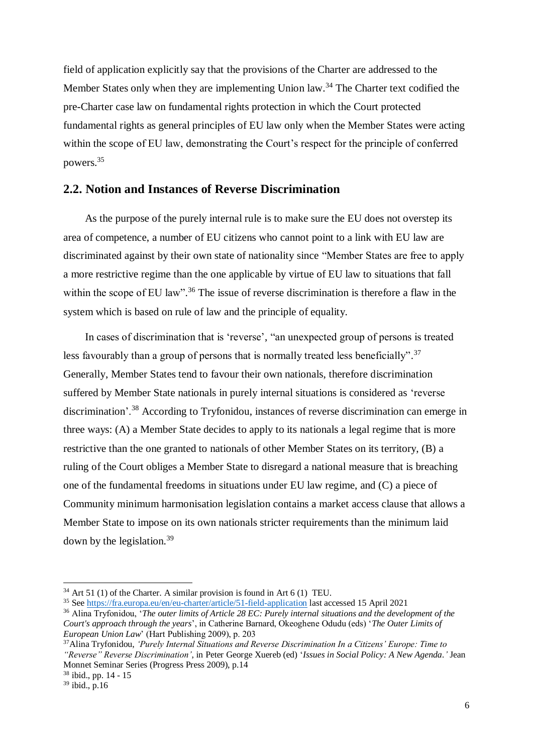field of application explicitly say that the provisions of the Charter are addressed to the Member States only when they are implementing Union law.<sup>34</sup> The Charter text codified the pre-Charter case law on fundamental rights protection in which the Court protected fundamental rights as general principles of EU law only when the Member States were acting within the scope of EU law, demonstrating the Court's respect for the principle of conferred powers.<sup>35</sup>

#### <span id="page-12-0"></span>**2.2. Notion and Instances of Reverse Discrimination**

 As the purpose of the purely internal rule is to make sure the EU does not overstep its area of competence, a number of EU citizens who cannot point to a link with EU law are discriminated against by their own state of nationality since "Member States are free to apply a more restrictive regime than the one applicable by virtue of EU law to situations that fall within the scope of EU law".<sup>36</sup> The issue of reverse discrimination is therefore a flaw in the system which is based on rule of law and the principle of equality.

 In cases of discrimination that is 'reverse', "an unexpected group of persons is treated less favourably than a group of persons that is normally treated less beneficially".<sup>37</sup> Generally, Member States tend to favour their own nationals, therefore discrimination suffered by Member State nationals in purely internal situations is considered as 'reverse discrimination'.<sup>38</sup> According to Tryfonidou, instances of reverse discrimination can emerge in three ways: (A) a Member State decides to apply to its nationals a legal regime that is more restrictive than the one granted to nationals of other Member States on its territory, (B) a ruling of the Court obliges a Member State to disregard a national measure that is breaching one of the fundamental freedoms in situations under EU law regime, and (C) a piece of Community minimum harmonisation legislation contains a market access clause that allows a Member State to impose on its own nationals stricter requirements than the minimum laid down by the legislation.<sup>39</sup>

 $34$  Art 51 (1) of the Charter. A similar provision is found in Art 6 (1) TEU.

<sup>35</sup> See<https://fra.europa.eu/en/eu-charter/article/51-field-application> last accessed 15 April 2021

<sup>36</sup> Alina Tryfonidou, '*The outer limits of Article 28 EC: Purely internal situations and the development of the Court's approach through the years*', in Catherine Barnard, Okeoghene Odudu (eds) '*The Outer Limits of European Union Law*' (Hart Publishing 2009), p. 203

<sup>37</sup>Alina Tryfonidou, *'Purely Internal Situations and Reverse Discrimination In a Citizens' Europe: Time to "Reverse" Reverse Discrimination'*, in Peter George Xuereb (ed) '*Issues in Social Policy: A New Agenda.'* Jean Monnet Seminar Series (Progress Press 2009), p.14

<sup>38</sup> ibid., pp. 14 - 15

 $39$  ibid., p.16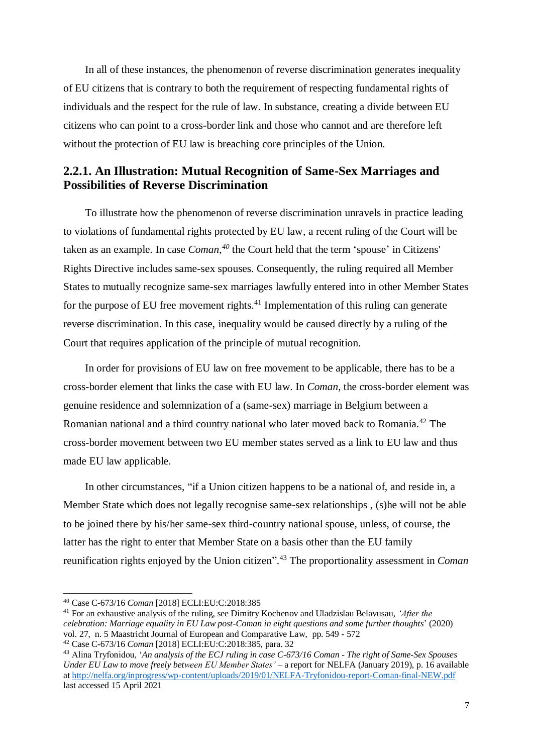In all of these instances, the phenomenon of reverse discrimination generates inequality of EU citizens that is contrary to both the requirement of respecting fundamental rights of individuals and the respect for the rule of law. In substance, creating a divide between EU citizens who can point to a cross-border link and those who cannot and are therefore left without the protection of EU law is breaching core principles of the Union.

### <span id="page-13-0"></span>**2.2.1. An Illustration: Mutual Recognition of Same-Sex Marriages and Possibilities of Reverse Discrimination**

 To illustrate how the phenomenon of reverse discrimination unravels in practice leading to violations of fundamental rights protected by EU law, a recent ruling of the Court will be taken as an example. In case *Coman*, *<sup>40</sup>* the Court held that the term 'spouse' in Citizens' Rights Directive includes same-sex spouses. Consequently, the ruling required all Member States to mutually recognize same-sex marriages lawfully entered into in other Member States for the purpose of EU free movement rights. $41$  Implementation of this ruling can generate reverse discrimination. In this case, inequality would be caused directly by a ruling of the Court that requires application of the principle of mutual recognition.

 In order for provisions of EU law on free movement to be applicable, there has to be a cross-border element that links the case with EU law. In *Coman*, the cross-border element was genuine residence and solemnization of a (same-sex) marriage in Belgium between a Romanian national and a third country national who later moved back to Romania.<sup>42</sup> The cross-border movement between two EU member states served as a link to EU law and thus made EU law applicable.

 In other circumstances, "if a Union citizen happens to be a national of, and reside in, a Member State which does not legally recognise same-sex relationships , (s)he will not be able to be joined there by his/her same-sex third-country national spouse, unless, of course, the latter has the right to enter that Member State on a basis other than the EU family reunification rights enjoyed by the Union citizen". <sup>43</sup> The proportionality assessment in *Coman*

<sup>40</sup> Case C-673/16 *Coman* [2018] ECLI:EU:C:2018:385

<sup>41</sup> For an exhaustive analysis of the ruling, see Dimitry Kochenov and Uladzislau Belavusau, *'After the celebration: Marriage equality in EU Law post-Coman in eight questions and some further thoughts*' (2020) vol. 27, n. 5 Maastricht Journal of European and Comparative Law, pp. 549 - 572

<sup>42</sup> Case C-673/16 *Coman* [2018] ECLI:EU:C:2018:385, para. 32

<sup>43</sup> Alina Tryfonidou, '*An analysis of the ECJ ruling in case C-673/16 Coman - The right of Same-Sex Spouses Under EU Law to move freely between EU Member States' –* a report for NELFA (January 2019), p. 16 available a[t http://nelfa.org/inprogress/wp-content/uploads/2019/01/NELFA-Tryfonidou-report-Coman-final-NEW.pdf](http://nelfa.org/inprogress/wp-content/uploads/2019/01/NELFA-Tryfonidou-report-Coman-final-NEW.pdf) last accessed 15 April 2021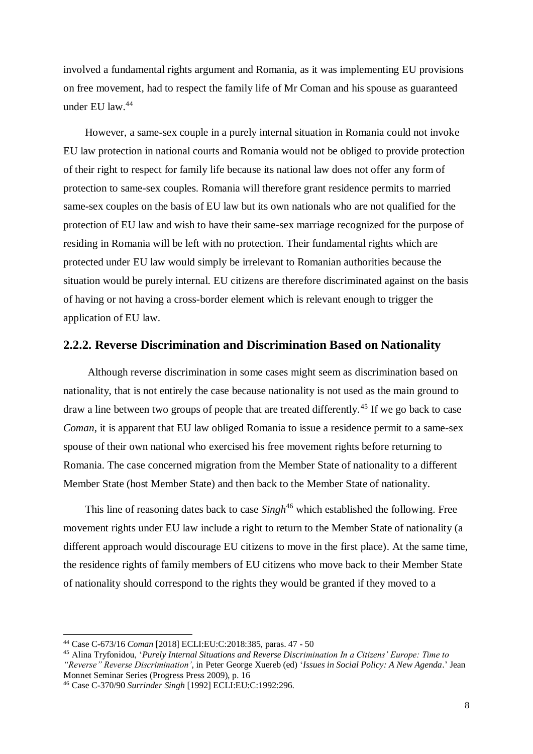involved a fundamental rights argument and Romania, as it was implementing EU provisions on free movement, had to respect the family life of Mr Coman and his spouse as guaranteed under EU law.<sup>44</sup>

 However, a same-sex couple in a purely internal situation in Romania could not invoke EU law protection in national courts and Romania would not be obliged to provide protection of their right to respect for family life because its national law does not offer any form of protection to same-sex couples. Romania will therefore grant residence permits to married same-sex couples on the basis of EU law but its own nationals who are not qualified for the protection of EU law and wish to have their same-sex marriage recognized for the purpose of residing in Romania will be left with no protection. Their fundamental rights which are protected under EU law would simply be irrelevant to Romanian authorities because the situation would be purely internal. EU citizens are therefore discriminated against on the basis of having or not having a cross-border element which is relevant enough to trigger the application of EU law.

#### <span id="page-14-0"></span>**2.2.2. Reverse Discrimination and Discrimination Based on Nationality**

 Although reverse discrimination in some cases might seem as discrimination based on nationality, that is not entirely the case because nationality is not used as the main ground to draw a line between two groups of people that are treated differently.<sup>45</sup> If we go back to case *Coman*, it is apparent that EU law obliged Romania to issue a residence permit to a same-sex spouse of their own national who exercised his free movement rights before returning to Romania. The case concerned migration from the Member State of nationality to a different Member State (host Member State) and then back to the Member State of nationality.

This line of reasoning dates back to case *Singh*<sup>46</sup> which established the following. Free movement rights under EU law include a right to return to the Member State of nationality (a different approach would discourage EU citizens to move in the first place). At the same time, the residence rights of family members of EU citizens who move back to their Member State of nationality should correspond to the rights they would be granted if they moved to a

<sup>44</sup> Case C-673/16 *Coman* [2018] ECLI:EU:C:2018:385, paras. 47 - 50

<sup>45</sup> Alina Tryfonidou, '*Purely Internal Situations and Reverse Discrimination In a Citizens' Europe: Time to* 

*<sup>&</sup>quot;Reverse" Reverse Discrimination'*, in Peter George Xuereb (ed) '*Issues in Social Policy: A New Agenda*.' Jean Monnet Seminar Series (Progress Press 2009), p. 16

<sup>46</sup> Case C-370/90 *Surrinder Singh* [1992] ECLI:EU:C:1992:296.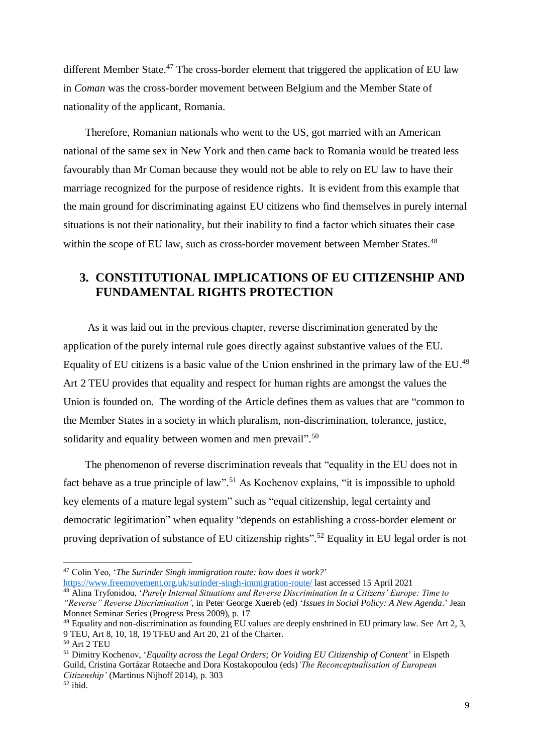different Member State.<sup>47</sup> The cross-border element that triggered the application of EU law in *Coman* was the cross-border movement between Belgium and the Member State of nationality of the applicant, Romania.

 Therefore, Romanian nationals who went to the US, got married with an American national of the same sex in New York and then came back to Romania would be treated less favourably than Mr Coman because they would not be able to rely on EU law to have their marriage recognized for the purpose of residence rights. It is evident from this example that the main ground for discriminating against EU citizens who find themselves in purely internal situations is not their nationality, but their inability to find a factor which situates their case within the scope of EU law, such as cross-border movement between Member States.<sup>48</sup>

### <span id="page-15-0"></span>**3. CONSTITUTIONAL IMPLICATIONS OF EU CITIZENSHIP AND FUNDAMENTAL RIGHTS PROTECTION**

 As it was laid out in the previous chapter, reverse discrimination generated by the application of the purely internal rule goes directly against substantive values of the EU. Equality of EU citizens is a basic value of the Union enshrined in the primary law of the EU.<sup>49</sup> Art 2 TEU provides that equality and respect for human rights are amongst the values the Union is founded on. The wording of the Article defines them as values that are "common to the Member States in a society in which pluralism, non-discrimination, tolerance, justice, solidarity and equality between women and men prevail".<sup>50</sup>

 The phenomenon of reverse discrimination reveals that "equality in the EU does not in fact behave as a true principle of law".<sup>51</sup> As Kochenov explains, "it is impossible to uphold key elements of a mature legal system" such as "equal citizenship, legal certainty and democratic legitimation" when equality "depends on establishing a cross-border element or proving deprivation of substance of EU citizenship rights".<sup>52</sup> Equality in EU legal order is not

<sup>47</sup> Colin Yeo, '*The Surinder Singh immigration route: how does it work?*'

<https://www.freemovement.org.uk/surinder-singh-immigration-route/> last accessed 15 April 2021 <sup>48</sup> Alina Tryfonidou, '*Purely Internal Situations and Reverse Discrimination In a Citizens' Europe: Time to* 

*<sup>&</sup>quot;Reverse" Reverse Discrimination'*, in Peter George Xuereb (ed) '*Issues in Social Policy: A New Agenda*.' Jean Monnet Seminar Series (Progress Press 2009), p. 17

<sup>49</sup> Equality and non-discrimination as founding EU values are deeply enshrined in EU primary law. See Art 2, 3, 9 TEU, Art 8, 10, 18, 19 TFEU and Art 20, 21 of the Charter.

<sup>50</sup> Art 2 TEU

<sup>51</sup> Dimitry Kochenov, '*Equality across the Legal Orders; Or Voiding EU Citizenship of Content*' in Elspeth Guild, Cristina Gortázar Rotaeche and Dora Kostakopoulou (eds)*'The Reconceptualisation of European Citizenship'* (Martinus Nijhoff 2014), p. 303

<sup>52</sup> ibid.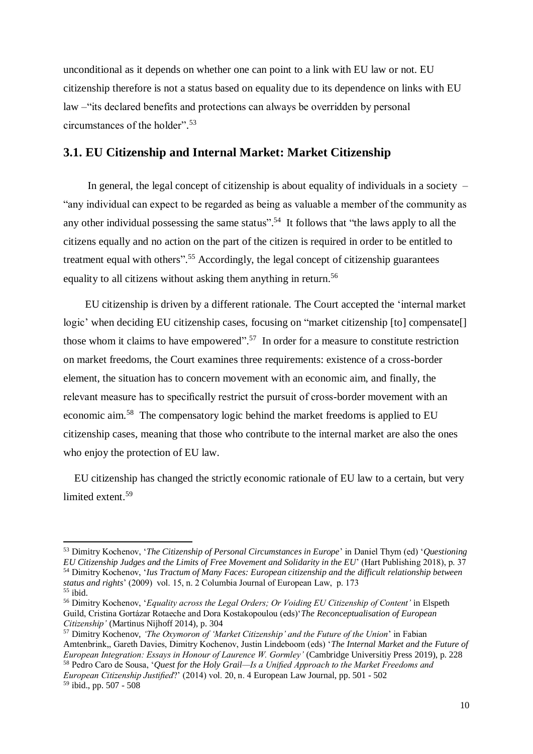unconditional as it depends on whether one can point to a link with EU law or not. EU citizenship therefore is not a status based on equality due to its dependence on links with EU law –"its declared benefits and protections can always be overridden by personal circumstances of the holder". 53

### <span id="page-16-0"></span>**3.1. EU Citizenship and Internal Market: Market Citizenship**

In general, the legal concept of citizenship is about equality of individuals in a society  $-$ "any individual can expect to be regarded as being as valuable a member of the community as any other individual possessing the same status".<sup>54</sup> It follows that "the laws apply to all the citizens equally and no action on the part of the citizen is required in order to be entitled to treatment equal with others".<sup>55</sup> Accordingly, the legal concept of citizenship guarantees equality to all citizens without asking them anything in return.<sup>56</sup>

 EU citizenship is driven by a different rationale. The Court accepted the 'internal market logic' when deciding EU citizenship cases, focusing on "market citizenship [to] compensate[] those whom it claims to have empowered".<sup>57</sup> In order for a measure to constitute restriction on market freedoms, the Court examines three requirements: existence of a cross-border element, the situation has to concern movement with an economic aim, and finally, the relevant measure has to specifically restrict the pursuit of cross-border movement with an economic aim.<sup>58</sup> The compensatory logic behind the market freedoms is applied to EU citizenship cases, meaning that those who contribute to the internal market are also the ones who enjoy the protection of EU law.

 EU citizenship has changed the strictly economic rationale of EU law to a certain, but very limited extent. 59

<sup>53</sup> Dimitry Kochenov, '*The Citizenship of Personal Circumstances in Europe*' in Daniel Thym (ed) '*Questioning EU Citizenship Judges and the Limits of Free Movement and Solidarity in the EU*' (Hart Publishing 2018), p. 37 <sup>54</sup> Dimitry Kochenov, '*Ius Tractum of Many Faces: European citizenship and the difficult relationship between status and rights*' (2009) vol. 15, n. 2 Columbia Journal of European Law, p. 173  $55$  ibid.

<sup>56</sup> Dimitry Kochenov, '*Equality across the Legal Orders; Or Voiding EU Citizenship of Content'* in Elspeth Guild, Cristina Gortázar Rotaeche and Dora Kostakopoulou (eds)'*The Reconceptualisation of European Citizenship'* (Martinus Nijhoff 2014), p. 304

<sup>57</sup> Dimitry Kochenov, *'The Oxymoron of 'Market Citizenship' and the Future of the Union*' in Fabian Amtenbrink,, Gareth Davies, Dimitry Kochenov, Justin Lindeboom (eds) '*The Internal Market and the Future of European Integration: Essays in Honour of Laurence W. Gormley'* (Cambridge Universitiy Press 2019), p. 228 <sup>58</sup> Pedro Caro de Sousa, '*Quest for the Holy Grail—Is a Unified Approach to the Market Freedoms and European Citizenship Justified*?' (2014) vol. 20, n. 4 European Law Journal, pp. 501 - 502 <sup>59</sup> ibid., pp. 507 - 508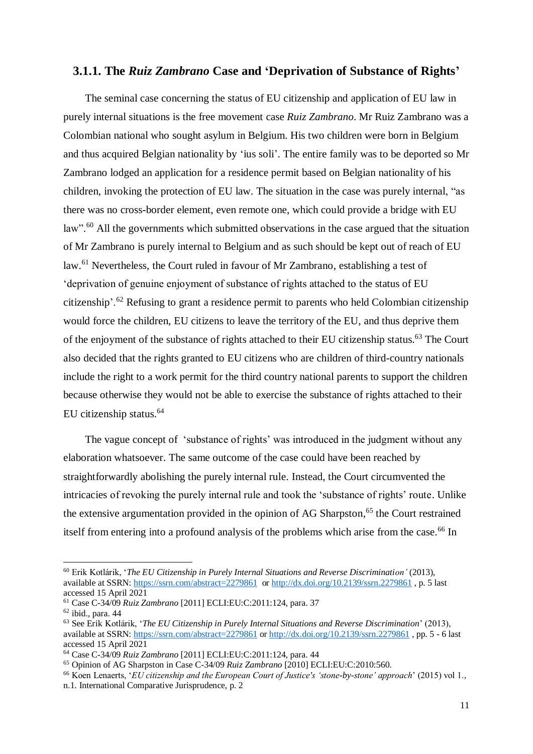### <span id="page-17-0"></span>**3.1.1. The** *Ruiz Zambrano* **Case and 'Deprivation of Substance of Rights'**

 The seminal case concerning the status of EU citizenship and application of EU law in purely internal situations is the free movement case *Ruiz Zambrano*. Mr Ruiz Zambrano was a Colombian national who sought asylum in Belgium. His two children were born in Belgium and thus acquired Belgian nationality by 'ius soli'. The entire family was to be deported so Mr Zambrano lodged an application for a residence permit based on Belgian nationality of his children, invoking the protection of EU law. The situation in the case was purely internal, "as there was no cross-border element, even remote one, which could provide a bridge with EU law".<sup>60</sup> All the governments which submitted observations in the case argued that the situation of Mr Zambrano is purely internal to Belgium and as such should be kept out of reach of EU law.<sup>61</sup> Nevertheless, the Court ruled in favour of Mr Zambrano, establishing a test of 'deprivation of genuine enjoyment of substance of rights attached to the status of EU citizenship'.<sup>62</sup> Refusing to grant a residence permit to parents who held Colombian citizenship would force the children, EU citizens to leave the territory of the EU, and thus deprive them of the enjoyment of the substance of rights attached to their EU citizenship status.<sup>63</sup> The Court also decided that the rights granted to EU citizens who are children of third-country nationals include the right to a work permit for the third country national parents to support the children because otherwise they would not be able to exercise the substance of rights attached to their EU citizenship status.<sup>64</sup>

 The vague concept of 'substance of rights' was introduced in the judgment without any elaboration whatsoever. The same outcome of the case could have been reached by straightforwardly abolishing the purely internal rule. Instead, the Court circumvented the intricacies of revoking the purely internal rule and took the 'substance of rights' route. Unlike the extensive argumentation provided in the opinion of AG Sharpston, <sup>65</sup> the Court restrained itself from entering into a profound analysis of the problems which arise from the case.<sup>66</sup> In

<sup>60</sup> Erik Kotlárik, '*The EU Citizenship in Purely Internal Situations and Reverse Discrimination'* (2013), available at SSRN:<https://ssrn.com/abstract=2279861>or<http://dx.doi.org/10.2139/ssrn.2279861> , p. 5 last accessed 15 April 2021

<sup>61</sup> Case C-34/09 *Ruiz Zambrano* [2011] ECLI:EU:C:2011:124, para. 37

 $62$  ibid., para. 44

<sup>63</sup> See Erik Kotlárik, '*The EU Citizenship in Purely Internal Situations and Reverse Discrimination*' (2013), available at SSRN:<https://ssrn.com/abstract=2279861> or<http://dx.doi.org/10.2139/ssrn.2279861> , pp. 5 - 6 last accessed 15 April 2021

<sup>64</sup> Case C-34/09 *Ruiz Zambrano* [2011] ECLI:EU:C:2011:124, para. 44

<sup>65</sup> Opinion of AG Sharpston in Case C-34/09 *Ruiz Zambrano* [2010] ECLI:EU:C:2010:560.

<sup>66</sup> Koen Lenaerts, '*EU citizenship and the European Court of Justice's 'stone-by-stone' approach*' (2015) vol 1., n.1. International Comparative Jurisprudence, p. 2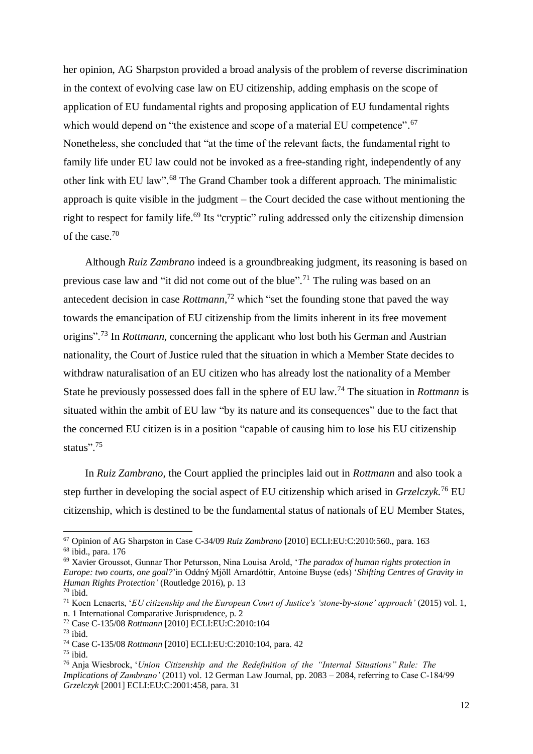her opinion, AG Sharpston provided a broad analysis of the problem of reverse discrimination in the context of evolving case law on EU citizenship, adding emphasis on the scope of application of EU fundamental rights and proposing application of EU fundamental rights which would depend on "the existence and scope of a material EU competence".<sup>67</sup> Nonetheless, she concluded that "at the time of the relevant facts, the fundamental right to family life under EU law could not be invoked as a free-standing right, independently of any other link with EU law".<sup>68</sup> The Grand Chamber took a different approach. The minimalistic approach is quite visible in the judgment – the Court decided the case without mentioning the right to respect for family life.<sup>69</sup> Its "cryptic" ruling addressed only the citizenship dimension of the case. 70

 Although *Ruiz Zambrano* indeed is a groundbreaking judgment, its reasoning is based on previous case law and "it did not come out of the blue".<sup>71</sup> The ruling was based on an antecedent decision in case *Rottmann*, <sup>72</sup> which "set the founding stone that paved the way towards the emancipation of EU citizenship from the limits inherent in its free movement origins". <sup>73</sup> In *Rottmann*, concerning the applicant who lost both his German and Austrian nationality, the Court of Justice ruled that the situation in which a Member State decides to withdraw naturalisation of an EU citizen who has already lost the nationality of a Member State he previously possessed does fall in the sphere of EU law. <sup>74</sup> The situation in *Rottmann* is situated within the ambit of EU law "by its nature and its consequences" due to the fact that the concerned EU citizen is in a position "capable of causing him to lose his EU citizenship status".<sup>75</sup>

 In *Ruiz Zambrano*, the Court applied the principles laid out in *Rottmann* and also took a step further in developing the social aspect of EU citizenship which arised in *Grzelczyk.* <sup>76</sup> EU citizenship, which is destined to be the fundamental status of nationals of EU Member States,

<sup>67</sup> Opinion of AG Sharpston in Case C-34/09 *Ruiz Zambrano* [2010] ECLI:EU:C:2010:560., para. 163

<sup>68</sup> ibid., para. 176

<sup>69</sup> Xavier Groussot, Gunnar Thor Petursson, Nina Louisa Arold, '*The paradox of human rights protection in Europe: two courts, one goal?*'in Oddný Mjöll Arnardóttir, Antoine Buyse (eds) '*Shifting Centres of Gravity in Human Rights Protection'* (Routledge 2016), p. 13  $70$  ibid.

<sup>71</sup> Koen Lenaerts, '*EU citizenship and the European Court of Justice's 'stone-by-stone' approach'* (2015) vol. 1, n. 1 International Comparative Jurisprudence, p. 2

<sup>72</sup> Case C-135/08 *Rottmann* [2010] ECLI:EU:C:2010:104

 $73$  ibid.

<sup>74</sup> Case C-135/08 *Rottmann* [2010] ECLI:EU:C:2010:104, para. 42

 $75$  ibid.

<sup>76</sup> Anja Wiesbrock, '*Union Citizenship and the Redefinition of the "Internal Situations" Rule: The Implications of Zambrano'* (2011) vol. 12 German Law Journal, pp. 2083 – 2084, referring to Case C‑184/99 *Grzelczyk* [2001] ECLI:EU:C:2001:458, para. 31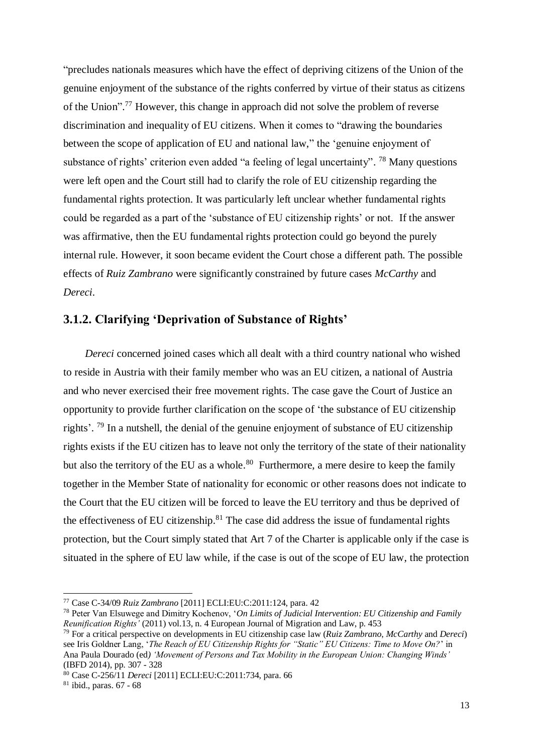"precludes nationals measures which have the effect of depriving citizens of the Union of the genuine enjoyment of the substance of the rights conferred by virtue of their status as citizens of the Union".<sup>77</sup> However, this change in approach did not solve the problem of reverse discrimination and inequality of EU citizens. When it comes to "drawing the boundaries between the scope of application of EU and national law," the 'genuine enjoyment of substance of rights' criterion even added "a feeling of legal uncertainty". <sup>78</sup> Many questions were left open and the Court still had to clarify the role of EU citizenship regarding the fundamental rights protection. It was particularly left unclear whether fundamental rights could be regarded as a part of the 'substance of EU citizenship rights' or not. If the answer was affirmative, then the EU fundamental rights protection could go beyond the purely internal rule. However, it soon became evident the Court chose a different path. The possible effects of *Ruiz Zambrano* were significantly constrained by future cases *McCarthy* and *Dereci*.

### <span id="page-19-0"></span>**3.1.2. Clarifying 'Deprivation of Substance of Rights'**

 *Dereci* concerned joined cases which all dealt with a third country national who wished to reside in Austria with their family member who was an EU citizen, a national of Austria and who never exercised their free movement rights. The case gave the Court of Justice an opportunity to provide further clarification on the scope of 'the substance of EU citizenship rights'. <sup>79</sup> In a nutshell, the denial of the genuine enjoyment of substance of EU citizenship rights exists if the EU citizen has to leave not only the territory of the state of their nationality but also the territory of the EU as a whole.<sup>80</sup> Furthermore, a mere desire to keep the family together in the Member State of nationality for economic or other reasons does not indicate to the Court that the EU citizen will be forced to leave the EU territory and thus be deprived of the effectiveness of EU citizenship.<sup>81</sup> The case did address the issue of fundamental rights protection, but the Court simply stated that Art 7 of the Charter is applicable only if the case is situated in the sphere of EU law while, if the case is out of the scope of EU law, the protection

<sup>81</sup> ibid., paras. 67 - 68

<sup>77</sup> Case C-34/09 *Ruiz Zambrano* [2011] ECLI:EU:C:2011:124, para. 42

<sup>78</sup> Peter Van Elsuwege and Dimitry Kochenov, '*On Limits of Judicial Intervention: EU Citizenship and Family Reunification Rights'* (2011) vol.13, n. 4 European Journal of Migration and Law, p. 453

<sup>79</sup> For a critical perspective on developments in EU citizenship case law (*Ruiz Zambrano*, *McCarthy* and *Dereci*) see Iris Goldner Lang, '*The Reach of EU Citizenship Rights for "Static" EU Citizens: Time to Move On?*' in Ana Paula Dourado (ed*) 'Movement of Persons and Tax Mobility in the European Union: Changing Winds'* (IBFD 2014), pp. 307 - 328

<sup>80</sup> Case C-256/11 *Dereci* [2011] ECLI:EU:C:2011:734, para. 66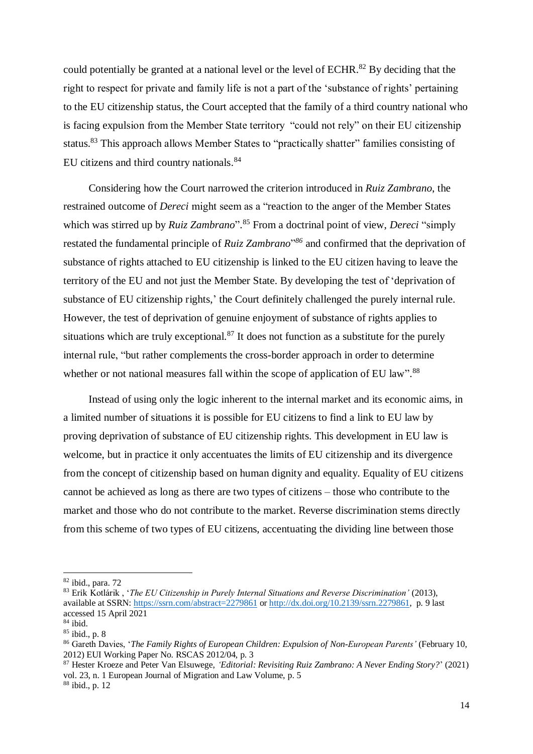could potentially be granted at a national level or the level of ECHR. $^{82}$  By deciding that the right to respect for private and family life is not a part of the 'substance of rights' pertaining to the EU citizenship status, the Court accepted that the family of a third country national who is facing expulsion from the Member State territory "could not rely" on their EU citizenship status.<sup>83</sup> This approach allows Member States to "practically shatter" families consisting of EU citizens and third country nationals.<sup>84</sup>

Considering how the Court narrowed the criterion introduced in *Ruiz Zambrano*, the restrained outcome of *Dereci* might seem as a "reaction to the anger of the Member States which was stirred up by *Ruiz Zambrano*". <sup>85</sup> From a doctrinal point of view, *Dereci* "simply restated the fundamental principle of *Ruiz Zambrano*"<sup>86</sup> and confirmed that the deprivation of substance of rights attached to EU citizenship is linked to the EU citizen having to leave the territory of the EU and not just the Member State. By developing the test of 'deprivation of substance of EU citizenship rights,' the Court definitely challenged the purely internal rule. However, the test of deprivation of genuine enjoyment of substance of rights applies to situations which are truly exceptional.<sup>87</sup> It does not function as a substitute for the purely internal rule, "but rather complements the cross-border approach in order to determine whether or not national measures fall within the scope of application of EU law".<sup>88</sup>

Instead of using only the logic inherent to the internal market and its economic aims, in a limited number of situations it is possible for EU citizens to find a link to EU law by proving deprivation of substance of EU citizenship rights. This development in EU law is welcome, but in practice it only accentuates the limits of EU citizenship and its divergence from the concept of citizenship based on human dignity and equality. Equality of EU citizens cannot be achieved as long as there are two types of citizens – those who contribute to the market and those who do not contribute to the market. Reverse discrimination stems directly from this scheme of two types of EU citizens, accentuating the dividing line between those

 $82$  ibid., para. 72

<sup>83</sup> Erik Kotlárik , '*The EU Citizenship in Purely Internal Situations and Reverse Discrimination'* (2013), available at SSRN:<https://ssrn.com/abstract=2279861> or [http://dx.doi.org/10.2139/ssrn.2279861,](http://dx.doi.org/10.2139/ssrn.2279861) p. 9 last accessed 15 April 2021

 $84$  ibid.

<sup>85</sup> ibid., p. 8

<sup>86</sup> Gareth Davies, '*The Family Rights of European Children: Expulsion of Non-European Parents'* (February 10, 2012) EUI Working Paper No. RSCAS 2012/04, p. 3

<sup>87</sup> Hester Kroeze and Peter Van Elsuwege, *'Editorial: Revisiting Ruiz Zambrano: A Never Ending Story?*' (2021) vol. 23, n. 1 European Journal of Migration and Law Volume, p. 5

<sup>88</sup> ibid., p. 12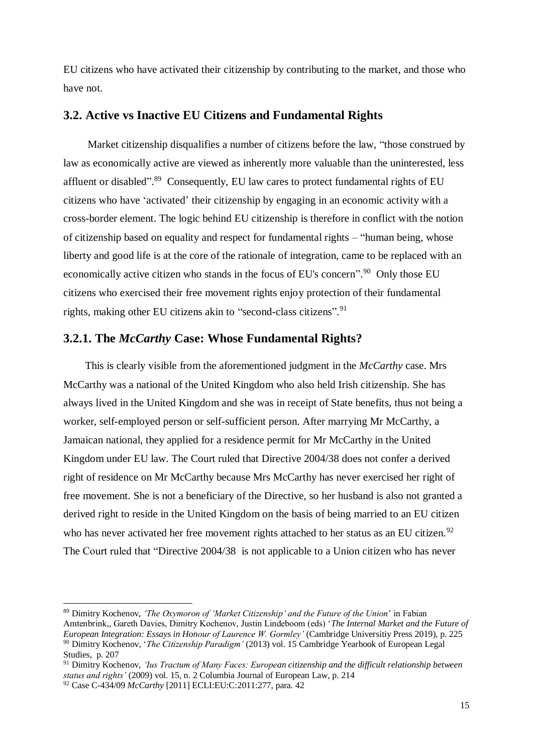EU citizens who have activated their citizenship by contributing to the market, and those who have not.

### <span id="page-21-0"></span>**3.2. Active vs Inactive EU Citizens and Fundamental Rights**

 Market citizenship disqualifies a number of citizens before the law, "those construed by law as economically active are viewed as inherently more valuable than the uninterested, less affluent or disabled".<sup>89</sup> Consequently, EU law cares to protect fundamental rights of EU citizens who have 'activated' their citizenship by engaging in an economic activity with a cross-border element. The logic behind EU citizenship is therefore in conflict with the notion of citizenship based on equality and respect for fundamental rights – "human being, whose liberty and good life is at the core of the rationale of integration, came to be replaced with an economically active citizen who stands in the focus of EU's concern".<sup>90</sup> Only those EU citizens who exercised their free movement rights enjoy protection of their fundamental rights, making other EU citizens akin to "second-class citizens". 91

#### <span id="page-21-1"></span>**3.2.1. The** *McCarthy* **Case: Whose Fundamental Rights?**

 This is clearly visible from the aforementioned judgment in the *McCarthy* case. Mrs McCarthy was a national of the United Kingdom who also held Irish citizenship. She has always lived in the United Kingdom and she was in receipt of State benefits, thus not being a worker, self-employed person or self-sufficient person. After marrying Mr McCarthy, a Jamaican national, they applied for a residence permit for Mr McCarthy in the United Kingdom under EU law. The Court ruled that Directive 2004/38 does not confer a derived right of residence on Mr McCarthy because Mrs McCarthy has never exercised her right of free movement. She is not a beneficiary of the Directive, so her husband is also not granted a derived right to reside in the United Kingdom on the basis of being married to an EU citizen who has never activated her free movement rights attached to her status as an EU citizen.<sup>92</sup> The Court ruled that "Directive 2004/38 is not applicable to a Union citizen who has never

<sup>89</sup> Dimitry Kochenov, *'The Oxymoron of 'Market Citizenship' and the Future of the Union*' in Fabian Amtenbrink,, Gareth Davies, Dimitry Kochenov, Justin Lindeboom (eds) '*The Internal Market and the Future of European Integration: Essays in Honour of Laurence W. Gormley'* (Cambridge Universitiy Press 2019), p. 225 <sup>90</sup> Dimitry Kochenov, '*The Citizenship Paradigm'* (2013) vol. 15 Cambridge Yearbook of European Legal

Studies, p. 207

<sup>91</sup> Dimitry Kochenov, *'Ius Tractum of Many Faces: European citizenship and the difficult relationship between status and rights'* (2009) vol. 15, n. 2 Columbia Journal of European Law, p. 214

<sup>92</sup> Case C-434/09 *McCarthy* [2011] ECLI:EU:C:2011:277, para. 42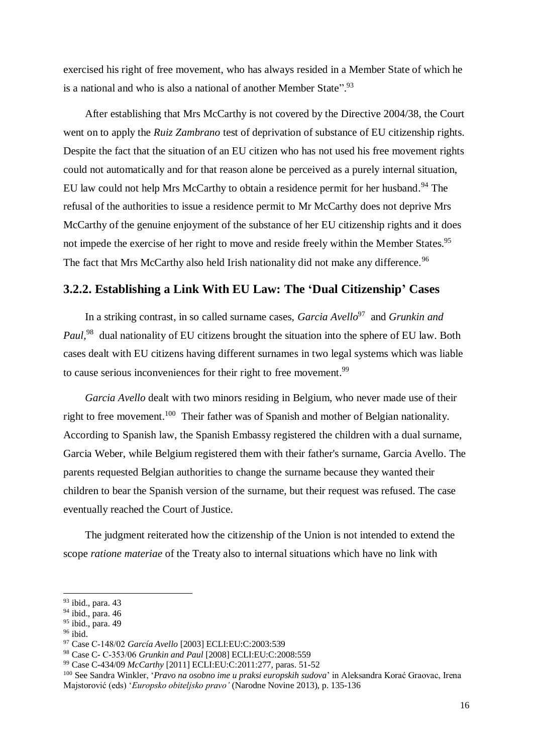exercised his right of free movement, who has always resided in a Member State of which he is a national and who is also a national of another Member State".<sup>93</sup>

 After establishing that Mrs McCarthy is not covered by the Directive 2004/38, the Court went on to apply the *Ruiz Zambrano* test of deprivation of substance of EU citizenship rights. Despite the fact that the situation of an EU citizen who has not used his free movement rights could not automatically and for that reason alone be perceived as a purely internal situation, EU law could not help Mrs McCarthy to obtain a residence permit for her husband.<sup>94</sup> The refusal of the authorities to issue a residence permit to Mr McCarthy does not deprive Mrs McCarthy of the genuine enjoyment of the substance of her EU citizenship rights and it does not impede the exercise of her right to move and reside freely within the Member States.<sup>95</sup> The fact that Mrs McCarthy also held Irish nationality did not make any difference.<sup>96</sup>

### <span id="page-22-0"></span>**3.2.2. Establishing a Link With EU Law: The 'Dual Citizenship' Cases**

In a striking contrast, in so called surname cases, *Garcia Avello*<sup>97</sup> and *Grunkin and* Paul,<sup>98</sup> dual nationality of EU citizens brought the situation into the sphere of EU law. Both cases dealt with EU citizens having different surnames in two legal systems which was liable to cause serious inconveniences for their right to free movement.<sup>99</sup>

 *Garcia Avello* dealt with two minors residing in Belgium, who never made use of their right to free movement.<sup>100</sup> Their father was of Spanish and mother of Belgian nationality. According to Spanish law, the Spanish Embassy registered the children with a dual surname, Garcia Weber, while Belgium registered them with their father's surname, Garcia Avello. The parents requested Belgian authorities to change the surname because they wanted their children to bear the Spanish version of the surname, but their request was refused. The case eventually reached the Court of Justice.

 The judgment reiterated how the citizenship of the Union is not intended to extend the scope *ratione materiae* of the Treaty also to internal situations which have no link with

<sup>93</sup> ibid., para. 43

 $94$  ibid., para. 46

<sup>95</sup> ibid., para. 49

 $96$  ibid.

<sup>97</sup> Case C‑148/02 *García Avello* [2003] ECLI:EU:C:2003:539

<sup>98</sup> Case C- C‑353/06 *Grunkin and Paul* [2008] ECLI:EU:C:2008:559

<sup>99</sup> Case C-434/09 *McCarthy* [2011] ECLI:EU:C:2011:277, paras. 51-52

<sup>100</sup> See Sandra Winkler, '*Pravo na osobno ime u praksi europskih sudova*' in Aleksandra Korać Graovac, Irena Majstorović (eds) '*Europsko obiteljsko pravo'* (Narodne Novine 2013), p. 135-136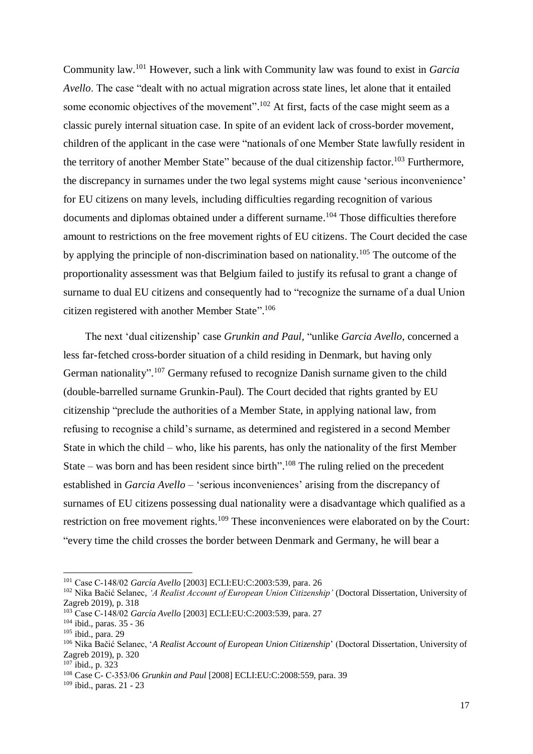Community law.<sup>101</sup> However, such a link with Community law was found to exist in *Garcia Avello*. The case "dealt with no actual migration across state lines, let alone that it entailed some economic objectives of the movement".<sup>102</sup> At first, facts of the case might seem as a classic purely internal situation case. In spite of an evident lack of cross-border movement, children of the applicant in the case were "nationals of one Member State lawfully resident in the territory of another Member State" because of the dual citizenship factor.<sup>103</sup> Furthermore, the discrepancy in surnames under the two legal systems might cause 'serious inconvenience' for EU citizens on many levels, including difficulties regarding recognition of various documents and diplomas obtained under a different surname.<sup>104</sup> Those difficulties therefore amount to restrictions on the free movement rights of EU citizens. The Court decided the case by applying the principle of non-discrimination based on nationality.<sup>105</sup> The outcome of the proportionality assessment was that Belgium failed to justify its refusal to grant a change of surname to dual EU citizens and consequently had to "recognize the surname of a dual Union citizen registered with another Member State".<sup>106</sup>

 The next 'dual citizenship' case *Grunkin and Paul,* "unlike *Garcia Avello*, concerned a less far-fetched cross-border situation of a child residing in Denmark, but having only German nationality".<sup>107</sup> Germany refused to recognize Danish surname given to the child (double-barrelled surname Grunkin-Paul). The Court decided that rights granted by EU citizenship "preclude the authorities of a Member State, in applying national law, from refusing to recognise a child's surname, as determined and registered in a second Member State in which the child – who, like his parents, has only the nationality of the first Member State – was born and has been resident since birth".<sup>108</sup> The ruling relied on the precedent established in *Garcia Avello* – 'serious inconveniences' arising from the discrepancy of surnames of EU citizens possessing dual nationality were a disadvantage which qualified as a restriction on free movement rights.<sup>109</sup> These inconveniences were elaborated on by the Court: "every time the child crosses the border between Denmark and Germany, he will bear a

<sup>101</sup> Case C‑148/02 *García Avello* [2003] ECLI:EU:C:2003:539, para. 26

<sup>102</sup> Nika Bačić Selanec, *'A Realist Account of European Union Citizenship'* (Doctoral Dissertation, University of Zagreb 2019), p. 318

<sup>103</sup> Case C‑148/02 *García Avello* [2003] ECLI:EU:C:2003:539, para. 27

 $104$  ibid., paras. 35 - 36

<sup>105</sup> ibid., para. 29

<sup>106</sup> Nika Bačić Selanec, '*A Realist Account of European Union Citizenship*' (Doctoral Dissertation, University of Zagreb 2019), p. 320

<sup>107</sup> ibid., p. 323

<sup>108</sup> Case C- C‑353/06 *Grunkin and Paul* [2008] ECLI:EU:C:2008:559, para. 39

<sup>109</sup> ibid., paras. 21 - 23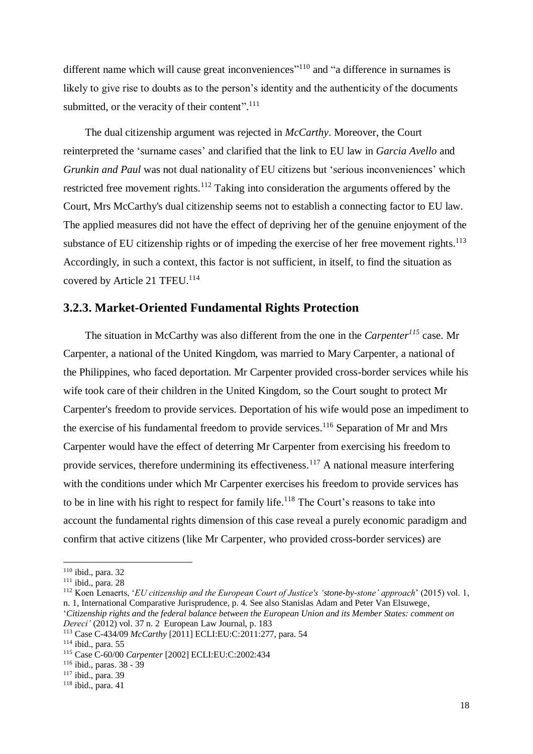different name which will cause great inconveniences"<sup>110</sup> and "a difference in surnames is likely to give rise to doubts as to the person's identity and the authenticity of the documents submitted, or the veracity of their content".<sup>111</sup>

 The dual citizenship argument was rejected in *McCarthy*. Moreover, the Court reinterpreted the 'surname cases' and clarified that the link to EU law in *Garcia Avello* and *Grunkin and Paul* was not dual nationality of EU citizens but 'serious inconveniences' which restricted free movement rights.<sup>112</sup> Taking into consideration the arguments offered by the Court, Mrs McCarthy's dual citizenship seems not to establish a connecting factor to EU law. The applied measures did not have the effect of depriving her of the genuine enjoyment of the substance of EU citizenship rights or of impeding the exercise of her free movement rights.<sup>113</sup> Accordingly, in such a context, this factor is not sufficient, in itself, to find the situation as covered by Article 21 TFEU.<sup>114</sup>

#### <span id="page-24-0"></span>**3.2.3. Market-Oriented Fundamental Rights Protection**

 The situation in McCarthy was also different from the one in the *Carpenter<sup>115</sup>* case. Mr Carpenter, a national of the United Kingdom, was married to Mary Carpenter, a national of the Philippines, who faced deportation. Mr Carpenter provided cross-border services while his wife took care of their children in the United Kingdom, so the Court sought to protect Mr Carpenter's freedom to provide services. Deportation of his wife would pose an impediment to the exercise of his fundamental freedom to provide services.<sup>116</sup> Separation of Mr and Mrs Carpenter would have the effect of deterring Mr Carpenter from exercising his freedom to provide services, therefore undermining its effectiveness.<sup>117</sup> A national measure interfering with the conditions under which Mr Carpenter exercises his freedom to provide services has to be in line with his right to respect for family life.<sup>118</sup> The Court's reasons to take into account the fundamental rights dimension of this case reveal a purely economic paradigm and confirm that active citizens (like Mr Carpenter, who provided cross-border services) are

<sup>110</sup> ibid., para. 32

 $111$  ibid., para. 28

<sup>112</sup> Koen Lenaerts, '*EU citizenship and the European Court of Justice's 'stone-by-stone' approach*' (2015) vol. 1, n. 1, International Comparative Jurisprudence, p. 4. See also Stanislas Adam and Peter Van Elsuwege, '*Citizenship rights and the federal balance between the European Union and its Member States: comment on* 

*Dereci'* (2012) vol. 37 n. 2 European Law Journal, p. 183

<sup>113</sup> Case C-434/09 *McCarthy* [2011] ECLI:EU:C:2011:277, para. 54

<sup>114</sup> ibid., para. 55

<sup>115</sup> Case C-60/00 *Carpenter* [2002] ECLI:EU:C:2002:434

<sup>116</sup> ibid., paras. 38 - 39

<sup>117</sup> ibid., para. 39

<sup>118</sup> ibid., para. 41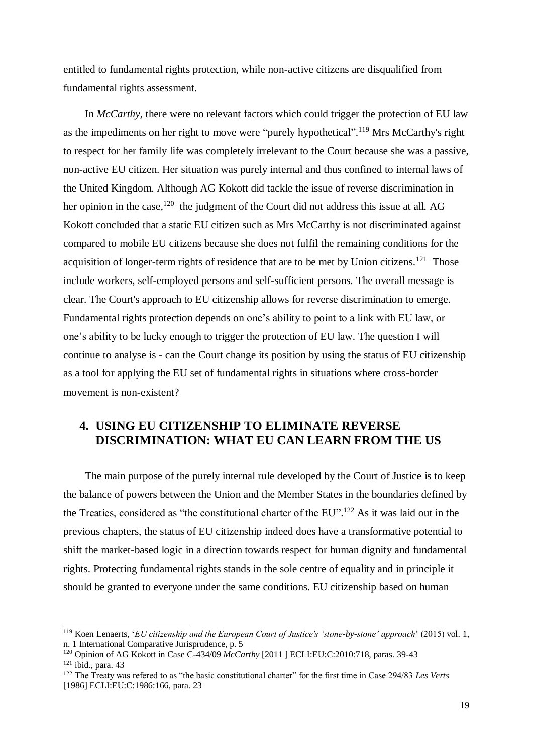entitled to fundamental rights protection, while non-active citizens are disqualified from fundamental rights assessment.

 In *McCarthy,* there were no relevant factors which could trigger the protection of EU law as the impediments on her right to move were "purely hypothetical".<sup>119</sup> Mrs McCarthy's right to respect for her family life was completely irrelevant to the Court because she was a passive, non-active EU citizen. Her situation was purely internal and thus confined to internal laws of the United Kingdom. Although AG Kokott did tackle the issue of reverse discrimination in her opinion in the case,<sup>120</sup> the judgment of the Court did not address this issue at all. AG Kokott concluded that a static EU citizen such as Mrs McCarthy is not discriminated against compared to mobile EU citizens because she does not fulfil the remaining conditions for the acquisition of longer-term rights of residence that are to be met by Union citizens.<sup>121</sup> Those include workers, self-employed persons and self-sufficient persons. The overall message is clear. The Court's approach to EU citizenship allows for reverse discrimination to emerge. Fundamental rights protection depends on one's ability to point to a link with EU law, or one's ability to be lucky enough to trigger the protection of EU law. The question I will continue to analyse is - can the Court change its position by using the status of EU citizenship as a tool for applying the EU set of fundamental rights in situations where cross-border movement is non-existent?

### <span id="page-25-0"></span>**4. USING EU CITIZENSHIP TO ELIMINATE REVERSE DISCRIMINATION: WHAT EU CAN LEARN FROM THE US**

 The main purpose of the purely internal rule developed by the Court of Justice is to keep the balance of powers between the Union and the Member States in the boundaries defined by the Treaties, considered as "the constitutional charter of the EU". <sup>122</sup> As it was laid out in the previous chapters, the status of EU citizenship indeed does have a transformative potential to shift the market-based logic in a direction towards respect for human dignity and fundamental rights. Protecting fundamental rights stands in the sole centre of equality and in principle it should be granted to everyone under the same conditions. EU citizenship based on human

<sup>119</sup> Koen Lenaerts, '*EU citizenship and the European Court of Justice's 'stone-by-stone' approach*' (2015) vol. 1, n. 1 International Comparative Jurisprudence, p. 5

<sup>120</sup> Opinion of AG Kokott in Case C-434/09 *McCarthy* [2011 ] ECLI:EU:C:2010:718, paras. 39-43  $121$  ibid., para. 43

<sup>122</sup> The Treaty was refered to as "the basic constitutional charter" for the first time in Case 294/83 *Les Verts* [1986] ECLI:EU:C:1986:166, para. 23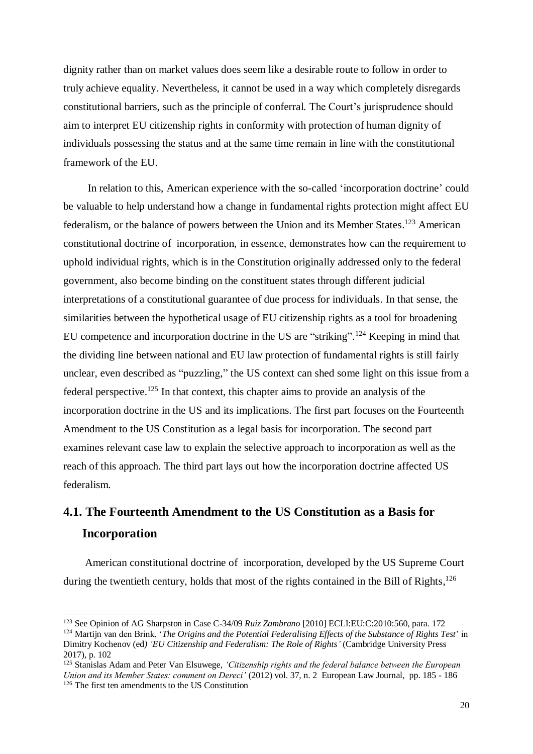dignity rather than on market values does seem like a desirable route to follow in order to truly achieve equality. Nevertheless, it cannot be used in a way which completely disregards constitutional barriers, such as the principle of conferral. The Court's jurisprudence should aim to interpret EU citizenship rights in conformity with protection of human dignity of individuals possessing the status and at the same time remain in line with the constitutional framework of the EU.

 In relation to this, American experience with the so-called 'incorporation doctrine' could be valuable to help understand how a change in fundamental rights protection might affect EU federalism, or the balance of powers between the Union and its Member States.<sup>123</sup> American constitutional doctrine of incorporation, in essence, demonstrates how can the requirement to uphold individual rights, which is in the Constitution originally addressed only to the federal government, also become binding on the constituent states through different judicial interpretations of a constitutional guarantee of due process for individuals. In that sense, the similarities between the hypothetical usage of EU citizenship rights as a tool for broadening EU competence and incorporation doctrine in the US are "striking".<sup>124</sup> Keeping in mind that the dividing line between national and EU law protection of fundamental rights is still fairly unclear, even described as "puzzling," the US context can shed some light on this issue from a federal perspective.<sup>125</sup> In that context, this chapter aims to provide an analysis of the incorporation doctrine in the US and its implications. The first part focuses on the Fourteenth Amendment to the US Constitution as a legal basis for incorporation. The second part examines relevant case law to explain the selective approach to incorporation as well as the reach of this approach. The third part lays out how the incorporation doctrine affected US federalism.

# <span id="page-26-1"></span><span id="page-26-0"></span>**4.1. The Fourteenth Amendment to the US Constitution as a Basis for Incorporation**

-

 American constitutional doctrine of incorporation, developed by the US Supreme Court during the twentieth century, holds that most of the rights contained in the Bill of Rights,<sup>126</sup>

<sup>123</sup> See Opinion of AG Sharpston in Case C-34/09 *Ruiz Zambrano* [2010] ECLI:EU:C:2010:560, para. 172 <sup>124</sup> Martijn van den Brink, '*The Origins and the Potential Federalising Effects of the Substance of Rights Test*' in Dimitry Kochenov (ed*) 'EU Citizenship and Federalism: The Role of Rights'* (Cambridge University Press 2017), p. 102

<sup>125</sup> Stanislas Adam and Peter Van Elsuwege, *'Citizenship rights and the federal balance between the European Union and its Member States: comment on Dereci'* (2012) vol. 37, n. 2 European Law Journal, pp. 185 - 186 <sup>126</sup> The first ten amendments to the US Constitution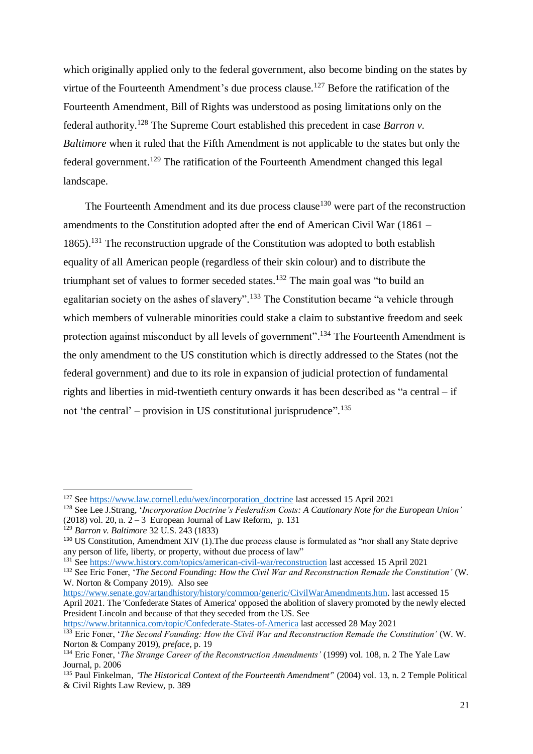which originally applied only to the federal government, also become binding on the states by virtue of the Fourteenth Amendment's due process clause.<sup>127</sup> Before the ratification of the Fourteenth Amendment, Bill of Rights was understood as posing limitations only on the federal authority.<sup>128</sup> The Supreme Court established this precedent in case *Barron v. Baltimore* when it ruled that the Fifth Amendment is not applicable to the states but only the federal government.<sup>129</sup> The ratification of the Fourteenth Amendment changed this legal landscape.

The Fourteenth Amendment and its due process clause<sup>130</sup> were part of the reconstruction amendments to the Constitution adopted after the end of American Civil War (1861 – 1865).<sup>131</sup> The reconstruction upgrade of the Constitution was adopted to both establish equality of all American people (regardless of their skin colour) and to distribute the triumphant set of values to former seceded states.<sup>132</sup> The main goal was "to build an egalitarian society on the ashes of slavery".<sup>133</sup> The Constitution became "a vehicle through which members of vulnerable minorities could stake a claim to substantive freedom and seek protection against misconduct by all levels of government".<sup>134</sup> The Fourteenth Amendment is the only amendment to the US constitution which is directly addressed to the States (not the federal government) and due to its role in expansion of judicial protection of fundamental rights and liberties in mid-twentieth century onwards it has been described as "a central – if not 'the central' – provision in US constitutional jurisprudence".<sup>135</sup>

-

[https://www.senate.gov/artandhistory/history/common/generic/CivilWarAmendments.htm.](https://www.senate.gov/artandhistory/history/common/generic/CivilWarAmendments.htm) last accessed 15 April 2021. The 'Confederate States of America' opposed the abolition of slavery promoted by the newly elected

President Lincoln and because of that they seceded from the US. See

<sup>&</sup>lt;sup>127</sup> See [https://www.law.cornell.edu/wex/incorporation\\_doctrine](https://www.law.cornell.edu/wex/incorporation_doctrine) last accessed 15 April 2021

<sup>128</sup> See Lee J.Strang, '*Incorporation Doctrine's Federalism Costs: A Cautionary Note for the European Union'* (2018) vol. 20, n.  $2-3$  European Journal of Law Reform, p. 131

<sup>129</sup> *Barron v. Baltimore* 32 U.S. 243 (1833)

<sup>&</sup>lt;sup>130</sup> US Constitution, Amendment XIV (1). The due process clause is formulated as "nor shall any State deprive any person of life, liberty, or property, without due process of law"

<sup>131</sup> See<https://www.history.com/topics/american-civil-war/reconstruction> last accessed 15 April 2021

<sup>132</sup> See Eric Foner, '*The Second Founding: How the Civil War and Reconstruction Remade the Constitution'* (W. W. Norton & Company 2019). Also see

<https://www.britannica.com/topic/Confederate-States-of-America> last accessed 28 May 2021

<sup>133</sup> Eric Foner, '*The Second Founding: How the Civil War and Reconstruction Remade the Constitution'* (W. W. Norton & Company 2019), *preface*, p. 19

<sup>134</sup> Eric Foner, '*The Strange Career of the Reconstruction Amendments'* (1999) vol. 108, n. 2 The Yale Law Journal, p. 2006

<sup>135</sup> Paul Finkelman*, 'The Historical Context of the Fourteenth Amendment'*' (2004) vol. 13, n. 2 Temple Political & Civil Rights Law Review, p. 389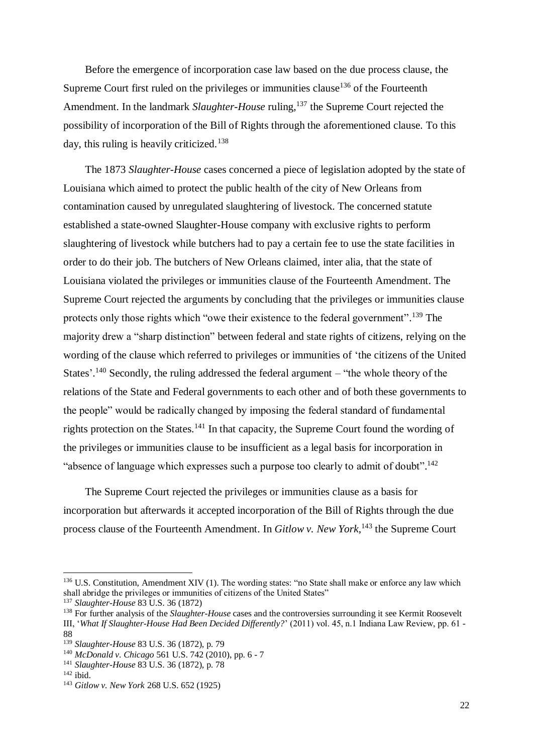Before the emergence of incorporation case law based on the due process clause, the Supreme Court first ruled on the privileges or immunities clause<sup>136</sup> of the Fourteenth Amendment. In the landmark *Slaughter-House* ruling, <sup>137</sup> the Supreme Court rejected the possibility of incorporation of the Bill of Rights through the aforementioned clause. To this day, this ruling is heavily criticized.<sup>138</sup>

 The 1873 *Slaughter-House* cases concerned a piece of legislation adopted by the state of Louisiana which aimed to protect the public health of the city of New Orleans from contamination caused by unregulated slaughtering of livestock. The concerned statute established a state-owned Slaughter-House company with exclusive rights to perform slaughtering of livestock while butchers had to pay a certain fee to use the state facilities in order to do their job. The butchers of New Orleans claimed, inter alia, that the state of Louisiana violated the privileges or immunities clause of the Fourteenth Amendment. The Supreme Court rejected the arguments by concluding that the privileges or immunities clause protects only those rights which "owe their existence to the federal government".<sup>139</sup> The majority drew a "sharp distinction" between federal and state rights of citizens, relying on the wording of the clause which referred to privileges or immunities of 'the citizens of the United States'.<sup>140</sup> Secondly, the ruling addressed the federal argument – "the whole theory of the relations of the State and Federal governments to each other and of both these governments to the people" would be radically changed by imposing the federal standard of fundamental rights protection on the States.<sup>141</sup> In that capacity, the Supreme Court found the wording of the privileges or immunities clause to be insufficient as a legal basis for incorporation in "absence of language which expresses such a purpose too clearly to admit of doubt".<sup>142</sup>

 The Supreme Court rejected the privileges or immunities clause as a basis for incorporation but afterwards it accepted incorporation of the Bill of Rights through the due process clause of the Fourteenth Amendment. In *Gitlow v. New York*, <sup>143</sup> the Supreme Court

 $136$  U.S. Constitution, Amendment XIV (1). The wording states: "no State shall make or enforce any law which shall abridge the privileges or immunities of citizens of the United States"

<sup>137</sup> *Slaughter-House* 83 U.S. 36 (1872)

<sup>138</sup> For further analysis of the *Slaughter-House* cases and the controversies surrounding it see Kermit Roosevelt III, '*What If Slaughter-House Had Been Decided Differently?*' (2011) vol. 45, n.1 Indiana Law Review, pp. 61 - 88

<sup>139</sup> *Slaughter-House* 83 U.S. 36 (1872), p. 79

<sup>140</sup> *McDonald v. Chicago* 561 U.S. 742 (2010), pp. 6 - 7

<sup>141</sup> *Slaughter-House* 83 U.S. 36 (1872), p. 78

 $142$  ibid.

<sup>143</sup> *Gitlow v. New York* 268 U.S. 652 (1925)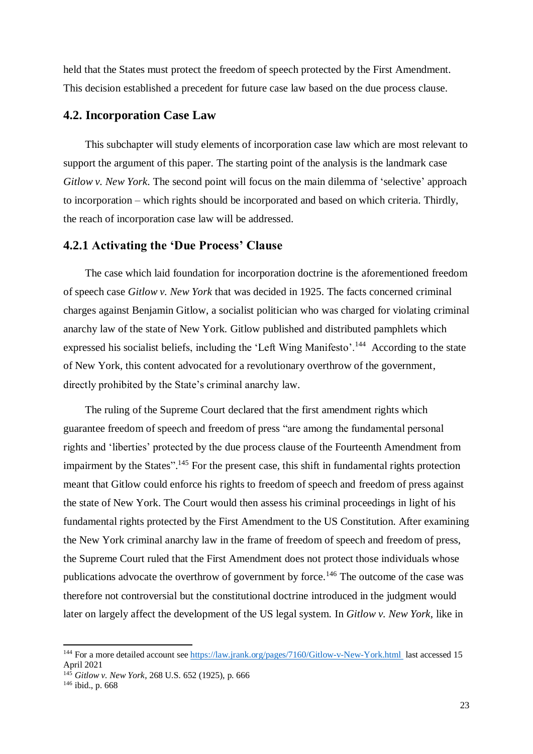held that the States must protect the freedom of speech protected by the First Amendment. This decision established a precedent for future case law based on the due process clause.

### <span id="page-29-0"></span>**4.2. Incorporation Case Law**

 This subchapter will study elements of incorporation case law which are most relevant to support the argument of this paper. The starting point of the analysis is the landmark case *Gitlow v. New York*. The second point will focus on the main dilemma of 'selective' approach to incorporation – which rights should be incorporated and based on which criteria. Thirdly, the reach of incorporation case law will be addressed.

#### <span id="page-29-1"></span>**4.2.1 Activating the 'Due Process' Clause**

 The case which laid foundation for incorporation doctrine is the aforementioned freedom of speech case *Gitlow v. New York* that was decided in 1925. The facts concerned criminal charges against Benjamin Gitlow, a socialist politician who was charged for violating criminal anarchy law of the state of New York. Gitlow published and distributed pamphlets which expressed his socialist beliefs, including the 'Left Wing Manifesto'.<sup>144</sup> According to the state of New York, this content advocated for a revolutionary overthrow of the government, directly prohibited by the State's criminal anarchy law.

 The ruling of the Supreme Court declared that the first amendment rights which guarantee freedom of speech and freedom of press "are among the fundamental personal rights and 'liberties' protected by the due process clause of the Fourteenth Amendment from impairment by the States".<sup>145</sup> For the present case, this shift in fundamental rights protection meant that Gitlow could enforce his rights to freedom of speech and freedom of press against the state of New York. The Court would then assess his criminal proceedings in light of his fundamental rights protected by the First Amendment to the US Constitution. After examining the New York criminal anarchy law in the frame of freedom of speech and freedom of press, the Supreme Court ruled that the First Amendment does not protect those individuals whose publications advocate the overthrow of government by force.<sup>146</sup> The outcome of the case was therefore not controversial but the constitutional doctrine introduced in the judgment would later on largely affect the development of the US legal system. In *Gitlow v. New York*, like in

<sup>&</sup>lt;sup>144</sup> For a more detailed account se[e https://law.jrank.org/pages/7160/Gitlow-v-New-York.html](https://law.jrank.org/pages/7160/Gitlow-v-New-York.html)\_last accessed 15 April 2021

<sup>145</sup> *Gitlow v. New York*, 268 U.S. 652 (1925), p. 666

<sup>146</sup> ibid., p. 668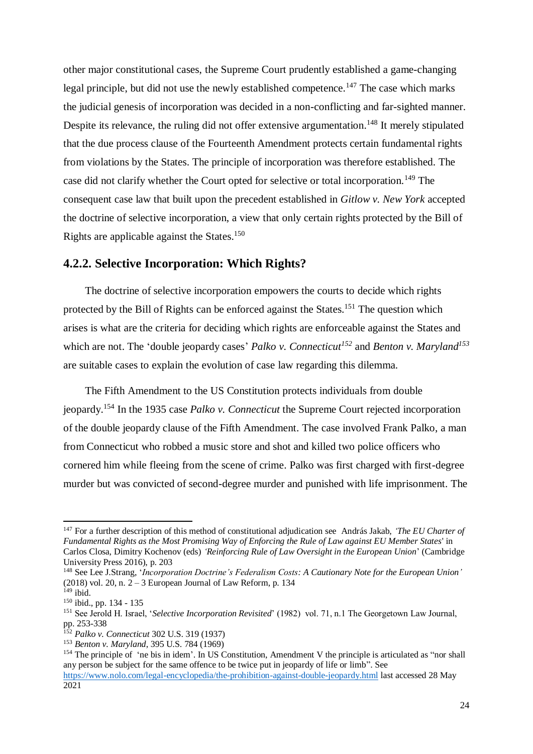other major constitutional cases, the Supreme Court prudently established a game-changing legal principle, but did not use the newly established competence.<sup>147</sup> The case which marks the judicial genesis of incorporation was decided in a non-conflicting and far-sighted manner. Despite its relevance, the ruling did not offer extensive argumentation.<sup>148</sup> It merely stipulated that the due process clause of the Fourteenth Amendment protects certain fundamental rights from violations by the States. The principle of incorporation was therefore established. The case did not clarify whether the Court opted for selective or total incorporation.<sup>149</sup> The consequent case law that built upon the precedent established in *Gitlow v. New York* accepted the doctrine of selective incorporation, a view that only certain rights protected by the Bill of Rights are applicable against the States.<sup>150</sup>

### <span id="page-30-0"></span>**4.2.2. Selective Incorporation: Which Rights?**

 The doctrine of selective incorporation empowers the courts to decide which rights protected by the Bill of Rights can be enforced against the States.<sup>151</sup> The question which arises is what are the criteria for deciding which rights are enforceable against the States and which are not. The 'double jeopardy cases' *Palko v. Connecticut<sup>152</sup>* and *Benton v. Maryland<sup>153</sup>* are suitable cases to explain the evolution of case law regarding this dilemma.

 The Fifth Amendment to the US Constitution protects individuals from double jeopardy. <sup>154</sup> In the 1935 case *Palko v. Connecticut* the Supreme Court rejected incorporation of the double jeopardy clause of the Fifth Amendment. The case involved Frank Palko, a man from Connecticut who robbed a music store and shot and killed two police officers who cornered him while fleeing from the scene of crime. Palko was first charged with first-degree murder but was convicted of second-degree murder and punished with life imprisonment. The

<sup>147</sup> For a further description of this method of constitutional adjudication see András Jakab, *'The EU Charter of Fundamental Rights as the Most Promising Way of Enforcing the Rule of Law against EU Member States*' in Carlos Closa, Dimitry Kochenov (eds) *'Reinforcing Rule of Law Oversight in the European Union*' (Cambridge University Press 2016), p. 203

<sup>148</sup> See Lee J.Strang, '*Incorporation Doctrine's Federalism Costs: A Cautionary Note for the European Union'* (2018) vol. 20, n.  $2 - 3$  European Journal of Law Reform, p. 134

 $149$  ibid.

<sup>150</sup> ibid., pp. 134 - 135

<sup>151</sup> See Jerold H. Israel, '*Selective Incorporation Revisited*' (1982) vol. 71, n.1 The Georgetown Law Journal, pp. 253-338

<sup>152</sup> *Palko v. Connecticut* 302 U.S. 319 (1937)

<sup>153</sup> *Benton v. Maryland*, 395 U.S. 784 (1969)

<sup>&</sup>lt;sup>154</sup> The principle of 'ne bis in idem'. In US Constitution, Amendment V the principle is articulated as "nor shall any person be subject for the same offence to be twice put in jeopardy of life or limb". See <https://www.nolo.com/legal-encyclopedia/the-prohibition-against-double-jeopardy.html> last accessed 28 May

<sup>2021</sup>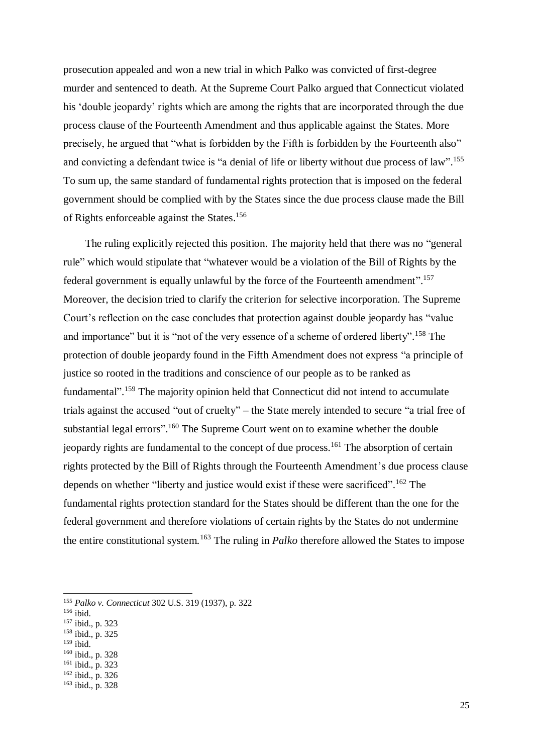prosecution appealed and won a new trial in which Palko was convicted of first-degree murder and sentenced to death. At the Supreme Court Palko argued that Connecticut violated his 'double jeopardy' rights which are among the rights that are incorporated through the due process clause of the Fourteenth Amendment and thus applicable against the States. More precisely, he argued that "what is forbidden by the Fifth is forbidden by the Fourteenth also" and convicting a defendant twice is "a denial of life or liberty without due process of law".<sup>155</sup> To sum up, the same standard of fundamental rights protection that is imposed on the federal government should be complied with by the States since the due process clause made the Bill of Rights enforceable against the States. 156

 The ruling explicitly rejected this position. The majority held that there was no "general rule" which would stipulate that "whatever would be a violation of the Bill of Rights by the federal government is equally unlawful by the force of the Fourteenth amendment". 157 Moreover, the decision tried to clarify the criterion for selective incorporation. The Supreme Court's reflection on the case concludes that protection against double jeopardy has "value and importance" but it is "not of the very essence of a scheme of ordered liberty".<sup>158</sup> The protection of double jeopardy found in the Fifth Amendment does not express "a principle of justice so rooted in the traditions and conscience of our people as to be ranked as fundamental".<sup>159</sup> The majority opinion held that Connecticut did not intend to accumulate trials against the accused "out of cruelty" – the State merely intended to secure "a trial free of substantial legal errors".<sup>160</sup> The Supreme Court went on to examine whether the double jeopardy rights are fundamental to the concept of due process.<sup>161</sup> The absorption of certain rights protected by the Bill of Rights through the Fourteenth Amendment's due process clause depends on whether "liberty and justice would exist if these were sacrificed".<sup>162</sup> The fundamental rights protection standard for the States should be different than the one for the federal government and therefore violations of certain rights by the States do not undermine the entire constitutional system.<sup>163</sup> The ruling in *Palko* therefore allowed the States to impose

- <sup>157</sup> ibid., p. 323
- <sup>158</sup> ibid., p. 325  $159$  ibid.
- 
- <sup>160</sup> ibid., p. 328  $161$  ibid., p. 323
- <sup>162</sup> ibid., p. 326
- <sup>163</sup> ibid., p. 328

<sup>155</sup> *Palko v. Connecticut* 302 U.S. 319 (1937), p. 322

<sup>156</sup> ibid.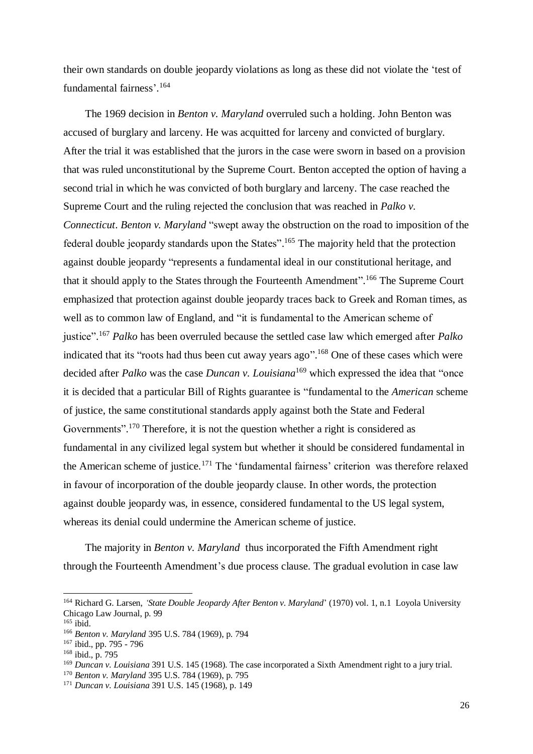their own standards on double jeopardy violations as long as these did not violate the 'test of fundamental fairness'. 164

 The 1969 decision in *Benton v. Maryland* overruled such a holding. John Benton was accused of burglary and larceny. He was acquitted for larceny and convicted of burglary. After the trial it was established that the jurors in the case were sworn in based on a provision that was ruled unconstitutional by the Supreme Court. Benton accepted the option of having a second trial in which he was convicted of both burglary and larceny. The case reached the Supreme Court and the ruling rejected the conclusion that was reached in *Palko v. Connecticut*. *Benton v. Maryland* "swept away the obstruction on the road to imposition of the federal double jeopardy standards upon the States".<sup>165</sup> The majority held that the protection against double jeopardy "represents a fundamental ideal in our constitutional heritage, and that it should apply to the States through the Fourteenth Amendment".<sup>166</sup> The Supreme Court emphasized that protection against double jeopardy traces back to Greek and Roman times, as well as to common law of England, and "it is fundamental to the American scheme of justice". <sup>167</sup> *Palko* has been overruled because the settled case law which emerged after *Palko* indicated that its "roots had thus been cut away years ago".<sup>168</sup> One of these cases which were decided after *Palko* was the case *Duncan v. Louisiana*<sup>169</sup> which expressed the idea that "once it is decided that a particular Bill of Rights guarantee is "fundamental to the *American* scheme of justice, the same constitutional standards apply against both the State and Federal Governments".<sup>170</sup> Therefore, it is not the question whether a right is considered as fundamental in any civilized legal system but whether it should be considered fundamental in the American scheme of justice.<sup>171</sup> The 'fundamental fairness' criterion was therefore relaxed in favour of incorporation of the double jeopardy clause. In other words, the protection against double jeopardy was, in essence, considered fundamental to the US legal system, whereas its denial could undermine the American scheme of justice.

 The majority in *Benton v. Maryland* thus incorporated the Fifth Amendment right through the Fourteenth Amendment's due process clause. The gradual evolution in case law

<sup>164</sup> Richard G. Larsen, *'State Double Jeopardy After Benton v. Maryland*' (1970) vol. 1, n.1 Loyola University Chicago Law Journal, p. 99

 $165$  ibid.

<sup>166</sup> *Benton v. Maryland* 395 U.S. 784 (1969), p. 794

<sup>167</sup> ibid., pp. 795 - 796

<sup>168</sup> ibid., p. 795

<sup>169</sup> *Duncan v. Louisiana* 391 U.S. 145 (1968). The case incorporated a Sixth Amendment right to a jury trial.

<sup>170</sup> *Benton v. Maryland* 395 U.S. 784 (1969), p. 795

<sup>171</sup> *Duncan v. Louisiana* 391 U.S. 145 (1968), p. 149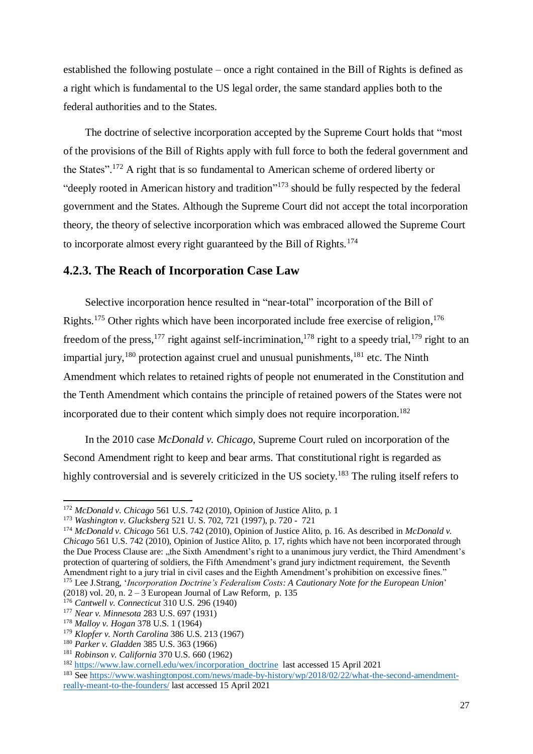established the following postulate – once a right contained in the Bill of Rights is defined as a right which is fundamental to the US legal order, the same standard applies both to the federal authorities and to the States.

 The doctrine of selective incorporation accepted by the Supreme Court holds that "most of the provisions of the Bill of Rights apply with full force to both the federal government and the States".<sup>172</sup> A right that is so fundamental to American scheme of ordered liberty or "deeply rooted in American history and tradition"<sup>173</sup> should be fully respected by the federal government and the States. Although the Supreme Court did not accept the total incorporation theory, the theory of selective incorporation which was embraced allowed the Supreme Court to incorporate almost every right guaranteed by the Bill of Rights.<sup>174</sup>

### <span id="page-33-0"></span>**4.2.3. The Reach of Incorporation Case Law**

 Selective incorporation hence resulted in "near-total" incorporation of the Bill of Rights.<sup>175</sup> Other rights which have been incorporated include free exercise of religion,<sup>176</sup> freedom of the press, <sup>177</sup> right against self-incrimination, <sup>178</sup> right to a speedy trial, <sup>179</sup> right to an impartial jury,  $180$  protection against cruel and unusual punishments,  $181$  etc. The Ninth Amendment which relates to retained rights of people not enumerated in the Constitution and the Tenth Amendment which contains the principle of retained powers of the States were not incorporated due to their content which simply does not require incorporation. 182

 In the 2010 case *McDonald v. Chicago*, Supreme Court ruled on incorporation of the Second Amendment right to keep and bear arms. That constitutional right is regarded as highly controversial and is severely criticized in the US society.<sup>183</sup> The ruling itself refers to

<sup>172</sup> *McDonald v. Chicago* 561 U.S. 742 (2010), Opinion of Justice Alito, p. 1

<sup>173</sup> *Washington v. Glucksberg* 521 U. S. 702, 721 (1997), p. 720 - 721

<sup>174</sup> *McDonald v. Chicago* 561 U.S. 742 (2010), Opinion of Justice Alito, p. 16. As described in *McDonald v. Chicago* 561 U.S. 742 (2010), Opinion of Justice Alito, p. 17, rights which have not been incorporated through the Due Process Clause are: "the Sixth Amendment's right to a unanimous jury verdict, the Third Amendment's protection of quartering of soldiers, the Fifth Amendment's grand jury indictment requirement, the Seventh Amendment right to a jury trial in civil cases and the Eighth Amendment's prohibition on excessive fines." <sup>175</sup> Lee J.Strang, '*Incorporation Doctrine's Federalism Costs: A Cautionary Note for the European Union*' (2018) vol. 20, n.  $2 - 3$  European Journal of Law Reform, p. 135

<sup>176</sup> *Cantwell v. Connecticut* 310 U.S. 296 (1940)

<sup>177</sup> *Near v. Minnesota* 283 U.S. 697 (1931)

<sup>178</sup> *Malloy v. Hogan* 378 U.S. 1 (1964)

<sup>179</sup> *Klopfer v. North Carolina* 386 U.S. 213 (1967)

<sup>180</sup> *Parker v. Gladden* 385 U.S. 363 (1966)

<sup>181</sup> *Robinson v. California* 370 U.S. 660 (1962)

<sup>182</sup> [https://www.law.cornell.edu/wex/incorporation\\_doctrine](https://www.law.cornell.edu/wex/incorporation_doctrine) last accessed 15 April 2021

<sup>183</sup> See [https://www.washingtonpost.com/news/made-by-history/wp/2018/02/22/what-the-second-amendment](https://www.washingtonpost.com/news/made-by-history/wp/2018/02/22/what-the-second-amendment-really-meant-to-the-founders/)[really-meant-to-the-founders/](https://www.washingtonpost.com/news/made-by-history/wp/2018/02/22/what-the-second-amendment-really-meant-to-the-founders/) last accessed 15 April 2021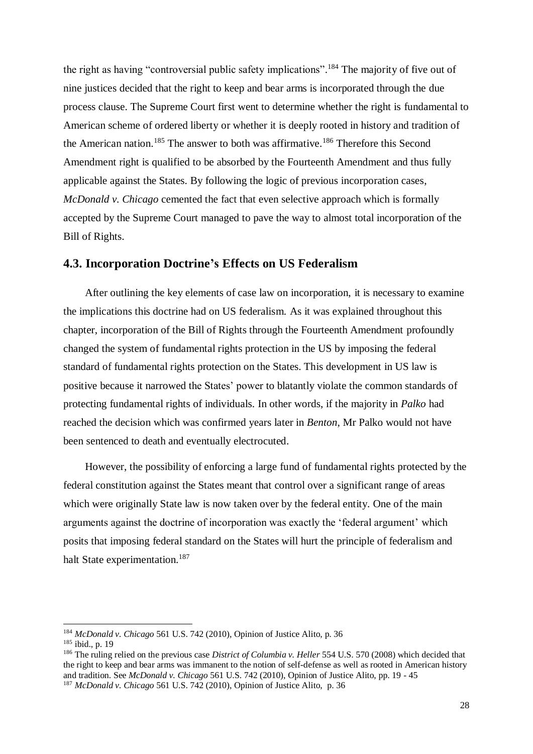the right as having "controversial public safety implications".<sup>184</sup> The majority of five out of nine justices decided that the right to keep and bear arms is incorporated through the due process clause. The Supreme Court first went to determine whether the right is fundamental to American scheme of ordered liberty or whether it is deeply rooted in history and tradition of the American nation.<sup>185</sup> The answer to both was affirmative.<sup>186</sup> Therefore this Second Amendment right is qualified to be absorbed by the Fourteenth Amendment and thus fully applicable against the States. By following the logic of previous incorporation cases, *McDonald v. Chicago* cemented the fact that even selective approach which is formally accepted by the Supreme Court managed to pave the way to almost total incorporation of the Bill of Rights.

#### <span id="page-34-0"></span>**4.3. Incorporation Doctrine's Effects on US Federalism**

 After outlining the key elements of case law on incorporation, it is necessary to examine the implications this doctrine had on US federalism. As it was explained throughout this chapter, incorporation of the Bill of Rights through the Fourteenth Amendment profoundly changed the system of fundamental rights protection in the US by imposing the federal standard of fundamental rights protection on the States. This development in US law is positive because it narrowed the States' power to blatantly violate the common standards of protecting fundamental rights of individuals. In other words, if the majority in *Palko* had reached the decision which was confirmed years later in *Benton*, Mr Palko would not have been sentenced to death and eventually electrocuted.

 However, the possibility of enforcing a large fund of fundamental rights protected by the federal constitution against the States meant that control over a significant range of areas which were originally State law is now taken over by the federal entity. One of the main arguments against the doctrine of incorporation was exactly the 'federal argument' which posits that imposing federal standard on the States will hurt the principle of federalism and halt State experimentation.<sup>187</sup>

<sup>184</sup> *McDonald v. Chicago* 561 U.S. 742 (2010), Opinion of Justice Alito, p. 36

<sup>185</sup> ibid., p. 19

<sup>186</sup> The ruling relied on the previous case *District of Columbia v. Heller* 554 U.S. 570 (2008) which decided that the right to keep and bear arms was immanent to the notion of self-defense as well as rooted in American history and tradition. See *McDonald v. Chicago* 561 U.S. 742 (2010), Opinion of Justice Alito, pp. 19 - 45 <sup>187</sup> *McDonald v. Chicago* 561 U.S. 742 (2010), Opinion of Justice Alito, p. 36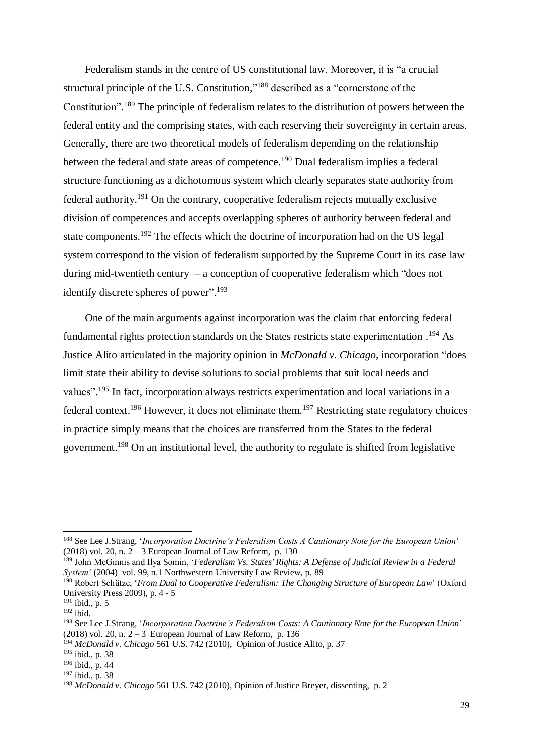Federalism stands in the centre of US constitutional law. Moreover, it is "a crucial structural principle of the U.S. Constitution,"<sup>188</sup> described as a "cornerstone of the Constitution".<sup>189</sup> The principle of federalism relates to the distribution of powers between the federal entity and the comprising states, with each reserving their sovereignty in certain areas. Generally, there are two theoretical models of federalism depending on the relationship between the federal and state areas of competence.<sup>190</sup> Dual federalism implies a federal structure functioning as a dichotomous system which clearly separates state authority from federal authority.<sup>191</sup> On the contrary, cooperative federalism rejects mutually exclusive division of competences and accepts overlapping spheres of authority between federal and state components.<sup>192</sup> The effects which the doctrine of incorporation had on the US legal system correspond to the vision of federalism supported by the Supreme Court in its case law during mid-twentieth century – a conception of cooperative federalism which "does not identify discrete spheres of power".<sup>193</sup>

 One of the main arguments against incorporation was the claim that enforcing federal fundamental rights protection standards on the States restricts state experimentation.<sup>194</sup> As Justice Alito articulated in the majority opinion in *McDonald v. Chicago*, incorporation "does limit state their ability to devise solutions to social problems that suit local needs and values".<sup>195</sup> In fact, incorporation always restricts experimentation and local variations in a federal context.<sup>196</sup> However, it does not eliminate them.<sup>197</sup> Restricting state regulatory choices in practice simply means that the choices are transferred from the States to the federal government.<sup>198</sup> On an institutional level, the authority to regulate is shifted from legislative

<sup>188</sup> See Lee J.Strang, '*Incorporation Doctrine's Federalism Costs A Cautionary Note for the European Union*' (2018) vol. 20, n.  $2 - 3$  European Journal of Law Reform, p. 130

<sup>189</sup> John McGinnis and Ilya Somin, '*Federalism Vs. States' Rights: A Defense of Judicial Review in a Federal System'* (2004) vol. 99, n.1 Northwestern University Law Review, p. 89

<sup>&</sup>lt;sup>190</sup> Robert Schütze, '*From Dual to Cooperative Federalism: The Changing Structure of European Law*' (Oxford University Press 2009), p. 4 - 5

<sup>191</sup> ibid., p. 5

 $192$  ibid.

<sup>193</sup> See Lee J.Strang, '*Incorporation Doctrine's Federalism Costs: A Cautionary Note for the European Union*' (2018) vol. 20, n.  $2 - 3$  European Journal of Law Reform, p. 136

<sup>194</sup> *McDonald v. Chicago* 561 U.S. 742 (2010), Opinion of Justice Alito, p. 37

<sup>195</sup> ibid., p. 38

<sup>196</sup> ibid., p. 44

<sup>197</sup> ibid., p. 38

<sup>198</sup> *McDonald v. Chicago* 561 U.S. 742 (2010), Opinion of Justice Breyer, dissenting, p. 2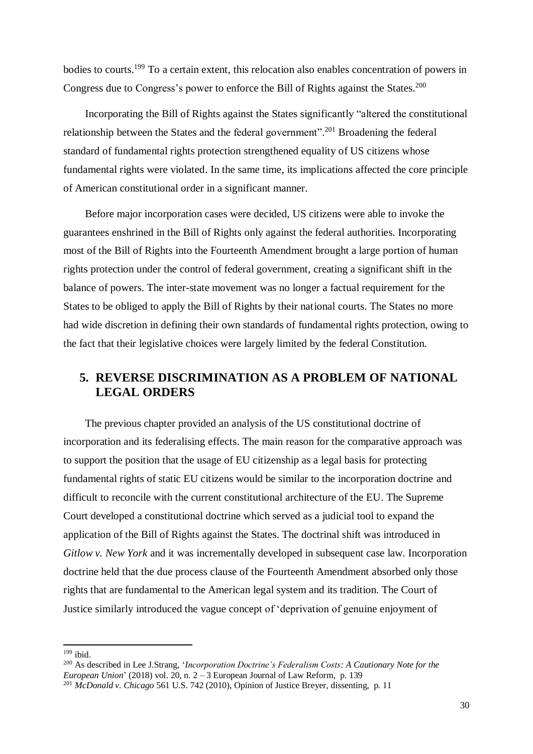bodies to courts.<sup>199</sup> To a certain extent, this relocation also enables concentration of powers in Congress due to Congress's power to enforce the Bill of Rights against the States.<sup>200</sup>

 Incorporating the Bill of Rights against the States significantly "altered the constitutional relationship between the States and the federal government".<sup>201</sup> Broadening the federal standard of fundamental rights protection strengthened equality of US citizens whose fundamental rights were violated. In the same time, its implications affected the core principle of American constitutional order in a significant manner.

 Before major incorporation cases were decided, US citizens were able to invoke the guarantees enshrined in the Bill of Rights only against the federal authorities. Incorporating most of the Bill of Rights into the Fourteenth Amendment brought a large portion of human rights protection under the control of federal government, creating a significant shift in the balance of powers. The inter-state movement was no longer a factual requirement for the States to be obliged to apply the Bill of Rights by their national courts. The States no more had wide discretion in defining their own standards of fundamental rights protection, owing to the fact that their legislative choices were largely limited by the federal Constitution.

### <span id="page-36-0"></span>**5. REVERSE DISCRIMINATION AS A PROBLEM OF NATIONAL LEGAL ORDERS**

 The previous chapter provided an analysis of the US constitutional doctrine of incorporation and its federalising effects. The main reason for the comparative approach was to support the position that the usage of EU citizenship as a legal basis for protecting fundamental rights of static EU citizens would be similar to the incorporation doctrine and difficult to reconcile with the current constitutional architecture of the EU. The Supreme Court developed a constitutional doctrine which served as a judicial tool to expand the application of the Bill of Rights against the States. The doctrinal shift was introduced in *Gitlow v. New York* and it was incrementally developed in subsequent case law. Incorporation doctrine held that the due process clause of the Fourteenth Amendment absorbed only those rights that are fundamental to the American legal system and its tradition. The Court of Justice similarly introduced the vague concept of 'deprivation of genuine enjoyment of

 $199$  ibid.

<sup>200</sup> As described in Lee J.Strang, '*Incorporation Doctrine's Federalism Costs: A Cautionary Note for the European Union*' (2018) vol. 20, n.  $2 - 3$  European Journal of Law Reform, p. 139

<sup>201</sup> *McDonald v. Chicago* 561 U.S. 742 (2010), Opinion of Justice Breyer, dissenting, p. 11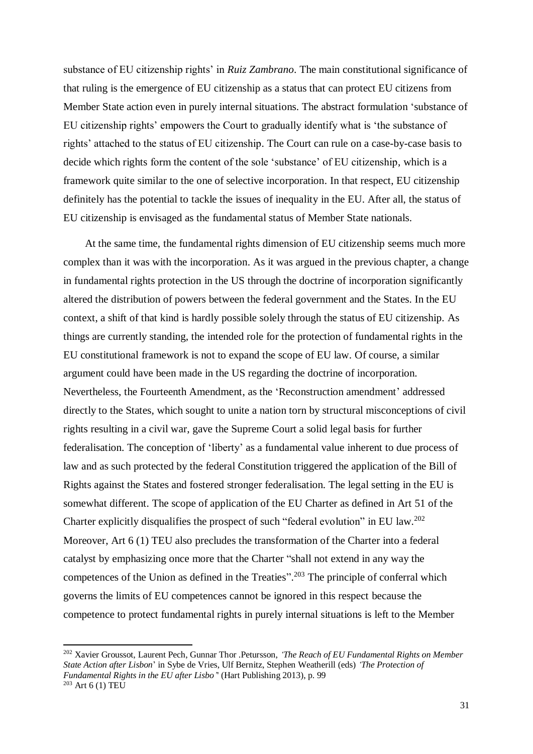substance of EU citizenship rights' in *Ruiz Zambrano*. The main constitutional significance of that ruling is the emergence of EU citizenship as a status that can protect EU citizens from Member State action even in purely internal situations. The abstract formulation 'substance of EU citizenship rights' empowers the Court to gradually identify what is 'the substance of rights' attached to the status of EU citizenship. The Court can rule on a case-by-case basis to decide which rights form the content of the sole 'substance' of EU citizenship, which is a framework quite similar to the one of selective incorporation. In that respect, EU citizenship definitely has the potential to tackle the issues of inequality in the EU. After all, the status of EU citizenship is envisaged as the fundamental status of Member State nationals.

 At the same time, the fundamental rights dimension of EU citizenship seems much more complex than it was with the incorporation. As it was argued in the previous chapter, a change in fundamental rights protection in the US through the doctrine of incorporation significantly altered the distribution of powers between the federal government and the States. In the EU context, a shift of that kind is hardly possible solely through the status of EU citizenship. As things are currently standing, the intended role for the protection of fundamental rights in the EU constitutional framework is not to expand the scope of EU law. Of course, a similar argument could have been made in the US regarding the doctrine of incorporation. Nevertheless, the Fourteenth Amendment, as the 'Reconstruction amendment' addressed directly to the States, which sought to unite a nation torn by structural misconceptions of civil rights resulting in a civil war, gave the Supreme Court a solid legal basis for further federalisation. The conception of 'liberty' as a fundamental value inherent to due process of law and as such protected by the federal Constitution triggered the application of the Bill of Rights against the States and fostered stronger federalisation. The legal setting in the EU is somewhat different. The scope of application of the EU Charter as defined in Art 51 of the Charter explicitly disqualifies the prospect of such "federal evolution" in EU law.<sup>202</sup> Moreover, Art 6 (1) TEU also precludes the transformation of the Charter into a federal catalyst by emphasizing once more that the Charter "shall not extend in any way the competences of the Union as defined in the Treaties". <sup>203</sup> The principle of conferral which governs the limits of EU competences cannot be ignored in this respect because the competence to protect fundamental rights in purely internal situations is left to the Member

<sup>202</sup> Xavier Groussot, Laurent Pech, Gunnar Thor .Petursson, *'The Reach of EU Fundamental Rights on Member State Action after Lisbon*' in Sybe de Vries, Ulf Bernitz, Stephen Weatherill (eds) *'The Protection of Fundamental Rights in the EU after Lisbo'*' (Hart Publishing 2013), p. 99  $203$  Art 6 (1) TEU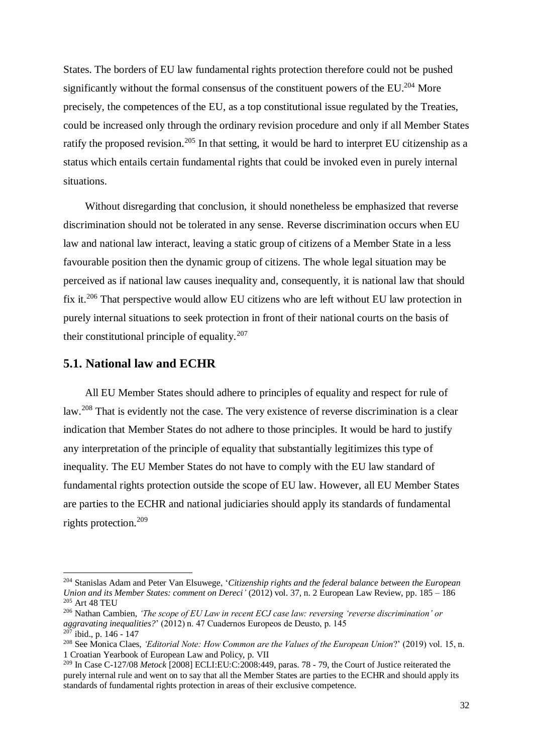States. The borders of EU law fundamental rights protection therefore could not be pushed significantly without the formal consensus of the constituent powers of the EU.<sup>204</sup> More precisely, the competences of the EU, as a top constitutional issue regulated by the Treaties, could be increased only through the ordinary revision procedure and only if all Member States ratify the proposed revision.<sup>205</sup> In that setting, it would be hard to interpret EU citizenship as a status which entails certain fundamental rights that could be invoked even in purely internal situations.

 Without disregarding that conclusion, it should nonetheless be emphasized that reverse discrimination should not be tolerated in any sense. Reverse discrimination occurs when EU law and national law interact, leaving a static group of citizens of a Member State in a less favourable position then the dynamic group of citizens. The whole legal situation may be perceived as if national law causes inequality and, consequently, it is national law that should fix it.<sup>206</sup> That perspective would allow EU citizens who are left without EU law protection in purely internal situations to seek protection in front of their national courts on the basis of their constitutional principle of equality.<sup>207</sup>

### <span id="page-38-0"></span>**5.1. National law and ECHR**

-

 All EU Member States should adhere to principles of equality and respect for rule of law.<sup>208</sup> That is evidently not the case. The very existence of reverse discrimination is a clear indication that Member States do not adhere to those principles. It would be hard to justify any interpretation of the principle of equality that substantially legitimizes this type of inequality. The EU Member States do not have to comply with the EU law standard of fundamental rights protection outside the scope of EU law. However, all EU Member States are parties to the ECHR and national judiciaries should apply its standards of fundamental rights protection.<sup>209</sup>

<sup>204</sup> Stanislas Adam and Peter Van Elsuwege, '*Citizenship rights and the federal balance between the European Union and its Member States: comment on Dereci'* (2012) vol. 37, n. 2 European Law Review, pp. 185 – 186 <sup>205</sup> Art 48 TEU

<sup>206</sup> Nathan Cambien, *'The scope of EU Law in recent ECJ case law: reversing 'reverse discrimination' or aggravating inequalities?*' (2012) n. 47 Cuadernos Europeos de Deusto, p. 145  $207$  ibid., p. 146 - 147

<sup>208</sup> See Monica Claes, *'Editorial Note: How Common are the Values of the European Union*?' (2019) vol. 15, n. 1 Croatian Yearbook of European Law and Policy, p. VII

<sup>209</sup> In Case C-127/08 *Metock* [2008] ECLI:EU:C:2008:449, paras. 78 - 79, the Court of Justice reiterated the purely internal rule and went on to say that all the Member States are parties to the ECHR and should apply its standards of fundamental rights protection in areas of their exclusive competence.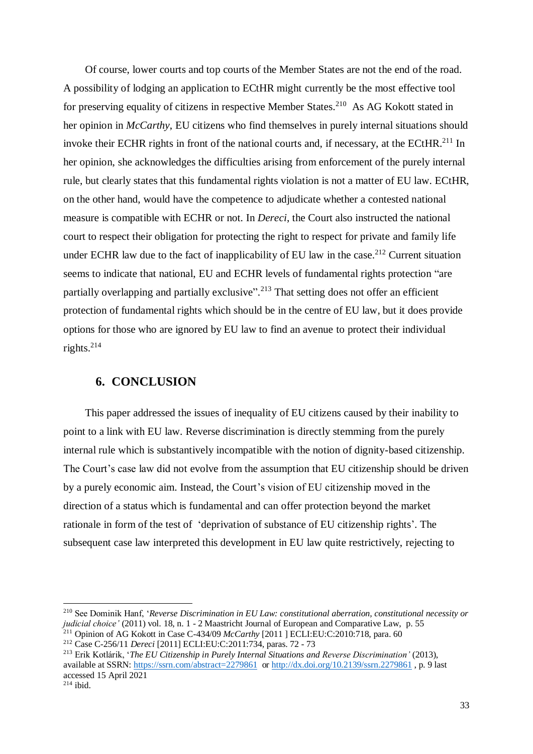Of course, lower courts and top courts of the Member States are not the end of the road. A possibility of lodging an application to ECtHR might currently be the most effective tool for preserving equality of citizens in respective Member States.<sup>210</sup> As AG Kokott stated in her opinion in *McCarthy*, EU citizens who find themselves in purely internal situations should invoke their ECHR rights in front of the national courts and, if necessary, at the ECtHR.<sup>211</sup> In her opinion, she acknowledges the difficulties arising from enforcement of the purely internal rule, but clearly states that this fundamental rights violation is not a matter of EU law. ECtHR, on the other hand, would have the competence to adjudicate whether a contested national measure is compatible with ECHR or not. In *Dereci*, the Court also instructed the national court to respect their obligation for protecting the right to respect for private and family life under ECHR law due to the fact of inapplicability of EU law in the case.<sup>212</sup> Current situation seems to indicate that national, EU and ECHR levels of fundamental rights protection "are partially overlapping and partially exclusive".<sup>213</sup> That setting does not offer an efficient protection of fundamental rights which should be in the centre of EU law, but it does provide options for those who are ignored by EU law to find an avenue to protect their individual rights.<sup>214</sup>

### <span id="page-39-0"></span>**6. CONCLUSION**

-

 This paper addressed the issues of inequality of EU citizens caused by their inability to point to a link with EU law. Reverse discrimination is directly stemming from the purely internal rule which is substantively incompatible with the notion of dignity-based citizenship. The Court's case law did not evolve from the assumption that EU citizenship should be driven by a purely economic aim. Instead, the Court's vision of EU citizenship moved in the direction of a status which is fundamental and can offer protection beyond the market rationale in form of the test of 'deprivation of substance of EU citizenship rights'. The subsequent case law interpreted this development in EU law quite restrictively, rejecting to

<sup>210</sup> See Dominik Hanf, '*Reverse Discrimination in EU Law: constitutional aberration, constitutional necessity or judicial choice'* (2011) vol. 18, n. 1 - 2 Maastricht Journal of European and Comparative Law, p. 55

<sup>211</sup> Opinion of AG Kokott in Case C-434/09 *McCarthy* [2011 ] ECLI:EU:C:2010:718, para. 60 <sup>212</sup> Case C-256/11 *Dereci* [2011] ECLI:EU:C:2011:734, paras. 72 - 73

<sup>213</sup> Erik Kotlárik, '*The EU Citizenship in Purely Internal Situations and Reverse Discrimination'* (2013), available at SSRN:<https://ssrn.com/abstract=2279861>or<http://dx.doi.org/10.2139/ssrn.2279861> , p. 9 last accessed 15 April 2021  $214$  ibid.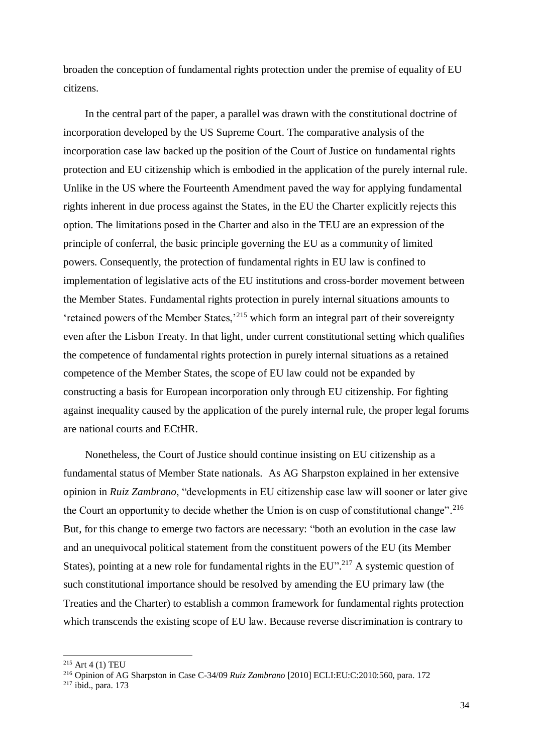broaden the conception of fundamental rights protection under the premise of equality of EU citizens.

 In the central part of the paper, a parallel was drawn with the constitutional doctrine of incorporation developed by the US Supreme Court. The comparative analysis of the incorporation case law backed up the position of the Court of Justice on fundamental rights protection and EU citizenship which is embodied in the application of the purely internal rule. Unlike in the US where the Fourteenth Amendment paved the way for applying fundamental rights inherent in due process against the States, in the EU the Charter explicitly rejects this option. The limitations posed in the Charter and also in the TEU are an expression of the principle of conferral, the basic principle governing the EU as a community of limited powers. Consequently, the protection of fundamental rights in EU law is confined to implementation of legislative acts of the EU institutions and cross-border movement between the Member States. Fundamental rights protection in purely internal situations amounts to 'retained powers of the Member States,'<sup>215</sup> which form an integral part of their sovereignty even after the Lisbon Treaty. In that light, under current constitutional setting which qualifies the competence of fundamental rights protection in purely internal situations as a retained competence of the Member States, the scope of EU law could not be expanded by constructing a basis for European incorporation only through EU citizenship. For fighting against inequality caused by the application of the purely internal rule, the proper legal forums are national courts and ECtHR.

 Nonetheless, the Court of Justice should continue insisting on EU citizenship as a fundamental status of Member State nationals. As AG Sharpston explained in her extensive opinion in *Ruiz Zambrano*, "developments in EU citizenship case law will sooner or later give the Court an opportunity to decide whether the Union is on cusp of constitutional change".<sup>216</sup> But, for this change to emerge two factors are necessary: "both an evolution in the case law and an unequivocal political statement from the constituent powers of the EU (its Member States), pointing at a new role for fundamental rights in the  $EU$ <sup>217</sup> A systemic question of such constitutional importance should be resolved by amending the EU primary law (the Treaties and the Charter) to establish a common framework for fundamental rights protection which transcends the existing scope of EU law. Because reverse discrimination is contrary to

 $215$  Art 4 (1) TEU

<sup>216</sup> Opinion of AG Sharpston in Case C-34/09 *Ruiz Zambrano* [2010] ECLI:EU:C:2010:560, para. 172

 $217$  ibid., para. 173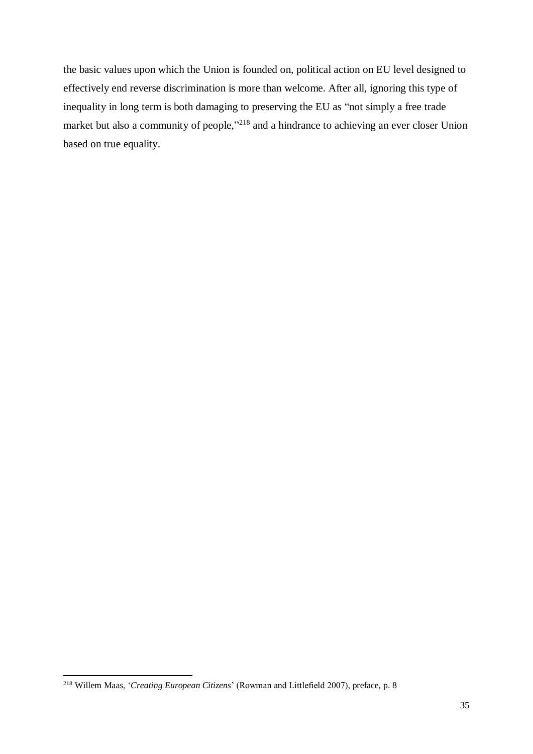the basic values upon which the Union is founded on, political action on EU level designed to effectively end reverse discrimination is more than welcome. After all, ignoring this type of inequality in long term is both damaging to preserving the EU as "not simply a free trade market but also a community of people,"<sup>218</sup> and a hindrance to achieving an ever closer Union based on true equality.

<sup>218</sup> Willem Maas, '*Creating European Citizens*' (Rowman and Littlefield 2007), preface, p. 8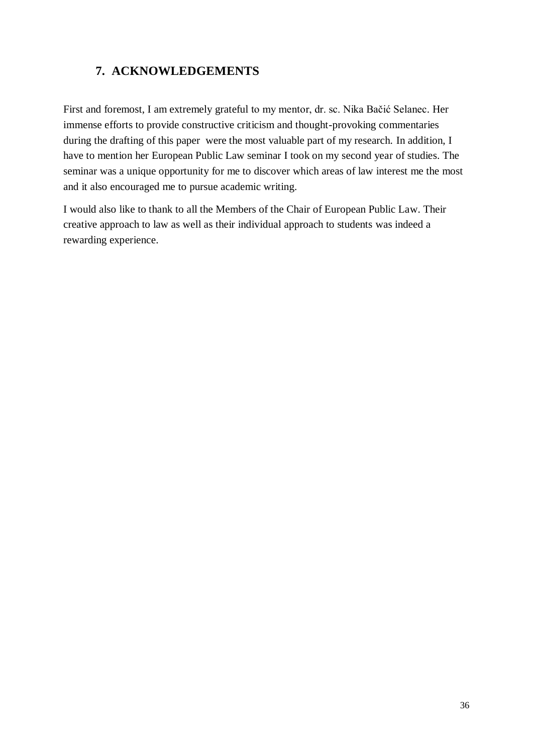### <span id="page-42-0"></span>**7. ACKNOWLEDGEMENTS**

First and foremost, I am extremely grateful to my mentor, dr. sc. Nika Bačić Selanec. Her immense efforts to provide constructive criticism and thought-provoking commentaries during the drafting of this paper were the most valuable part of my research. In addition, I have to mention her European Public Law seminar I took on my second year of studies. The seminar was a unique opportunity for me to discover which areas of law interest me the most and it also encouraged me to pursue academic writing.

I would also like to thank to all the Members of the Chair of European Public Law. Their creative approach to law as well as their individual approach to students was indeed a rewarding experience.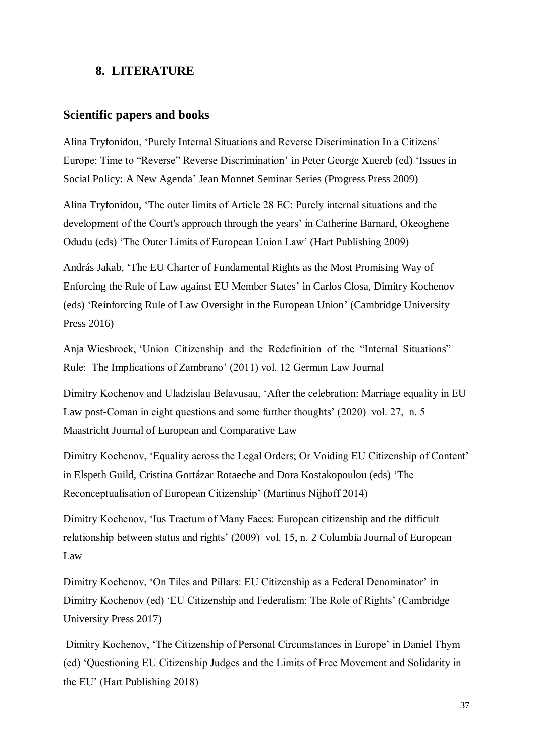### **8. LITERATURE**

#### **Scientific papers and books**

Alina Tryfonidou, 'Purely Internal Situations and Reverse Discrimination In a Citizens' Europe: Time to "Reverse" Reverse Discrimination' in Peter George Xuereb (ed) 'Issues in Social Policy: A New Agenda' Jean Monnet Seminar Series (Progress Press 2009)

Alina Tryfonidou, 'The outer limits of Article 28 EC: Purely internal situations and the development of the Court's approach through the years' in Catherine Barnard, Okeoghene Odudu (eds) 'The Outer Limits of European Union Law' (Hart Publishing 2009)

András Jakab, 'The EU Charter of Fundamental Rights as the Most Promising Way of Enforcing the Rule of Law against EU Member States' in Carlos Closa, Dimitry Kochenov (eds) 'Reinforcing Rule of Law Oversight in the European Union' (Cambridge University Press 2016)

Anja Wiesbrock, 'Union Citizenship and the Redefinition of the "Internal Situations" Rule: The Implications of Zambrano' (2011) vol. 12 German Law Journal

Dimitry Kochenov and Uladzislau Belavusau, 'After the celebration: Marriage equality in EU Law post-Coman in eight questions and some further thoughts' (2020) vol. 27, n. 5 Maastricht Journal of European and Comparative Law

Dimitry Kochenov, 'Equality across the Legal Orders; Or Voiding EU Citizenship of Content' in Elspeth Guild, Cristina Gortázar Rotaeche and Dora Kostakopoulou (eds) 'The Reconceptualisation of European Citizenship' (Martinus Nijhoff 2014)

Dimitry Kochenov, 'Ius Tractum of Many Faces: European citizenship and the difficult relationship between status and rights' (2009) vol. 15, n. 2 Columbia Journal of European Law

Dimitry Kochenov, 'On Tiles and Pillars: EU Citizenship as a Federal Denominator' in Dimitry Kochenov (ed) 'EU Citizenship and Federalism: The Role of Rights' (Cambridge University Press 2017)

Dimitry Kochenov, 'The Citizenship of Personal Circumstances in Europe' in Daniel Thym (ed) 'Questioning EU Citizenship Judges and the Limits of Free Movement and Solidarity in the EU' (Hart Publishing 2018)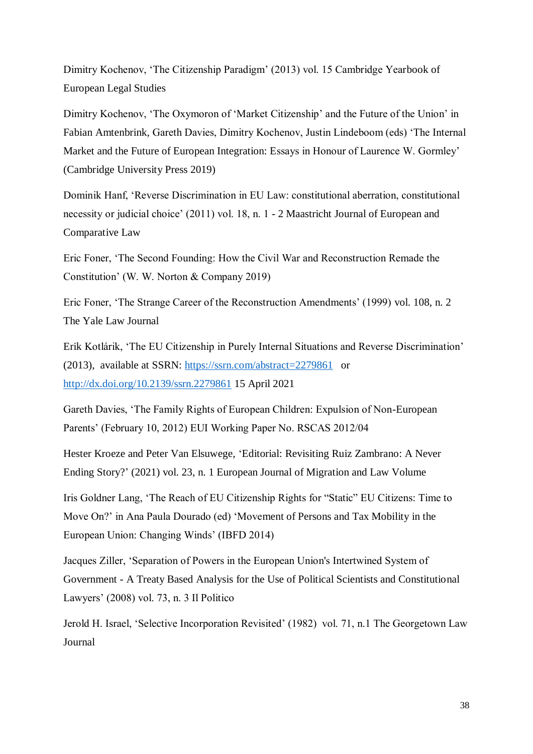Dimitry Kochenov, 'The Citizenship Paradigm' (2013) vol. 15 Cambridge Yearbook of European Legal Studies

Dimitry Kochenov, 'The Oxymoron of 'Market Citizenship' and the Future of the Union' in Fabian Amtenbrink, Gareth Davies, Dimitry Kochenov, Justin Lindeboom (eds) 'The Internal Market and the Future of European Integration: Essays in Honour of Laurence W. Gormley' (Cambridge University Press 2019)

Dominik Hanf, 'Reverse Discrimination in EU Law: constitutional aberration, constitutional necessity or judicial choice' (2011) vol. 18, n. 1 - 2 Maastricht Journal of European and Comparative Law

Eric Foner, 'The Second Founding: How the Civil War and Reconstruction Remade the Constitution' (W. W. Norton & Company 2019)

Eric Foner, 'The Strange Career of the Reconstruction Amendments' (1999) vol. 108, n. 2 The Yale Law Journal

Erik Kotlárik, 'The EU Citizenship in Purely Internal Situations and Reverse Discrimination' (2013), available at SSRN:<https://ssrn.com/abstract=2279861> or <http://dx.doi.org/10.2139/ssrn.2279861> 15 April 2021

Gareth Davies, 'The Family Rights of European Children: Expulsion of Non-European Parents' (February 10, 2012) EUI Working Paper No. RSCAS 2012/04

Hester Kroeze and Peter Van Elsuwege, 'Editorial: Revisiting Ruiz Zambrano: A Never Ending Story?' (2021) vol. 23, n. 1 European Journal of Migration and Law Volume

Iris Goldner Lang, 'The Reach of EU Citizenship Rights for "Static" EU Citizens: Time to Move On?' in Ana Paula Dourado (ed) 'Movement of Persons and Tax Mobility in the European Union: Changing Winds' (IBFD 2014)

Jacques Ziller, 'Separation of Powers in the European Union's Intertwined System of Government - A Treaty Based Analysis for the Use of Political Scientists and Constitutional Lawyers' (2008) vol. 73, n. 3 Il Politico

Jerold H. Israel, 'Selective Incorporation Revisited' (1982) vol. 71, n.1 The Georgetown Law Journal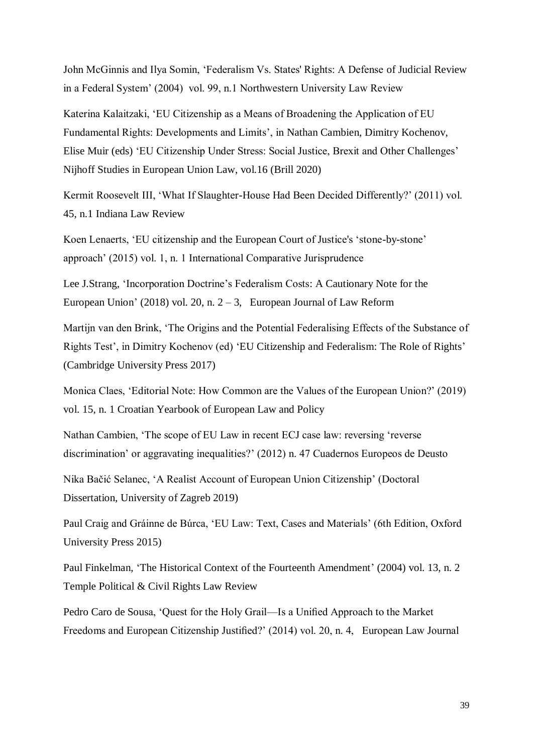John McGinnis and Ilya Somin, 'Federalism Vs. States' Rights: A Defense of Judicial Review in a Federal System' (2004) vol. 99, n.1 Northwestern University Law Review

Katerina Kalaitzaki, 'EU Citizenship as a Means of Broadening the Application of EU Fundamental Rights: Developments and Limits', in Nathan Cambien, Dimitry Kochenov, Elise Muir (eds) 'EU Citizenship Under Stress: Social Justice, Brexit and Other Challenges' Nijhoff Studies in European Union Law, vol.16 (Brill 2020)

Kermit Roosevelt III, 'What If Slaughter-House Had Been Decided Differently?' (2011) vol. 45, n.1 Indiana Law Review

Koen Lenaerts, 'EU citizenship and the European Court of Justice's 'stone-by-stone' approach' (2015) vol. 1, n. 1 International Comparative Jurisprudence

Lee J.Strang, 'Incorporation Doctrine's Federalism Costs: A Cautionary Note for the European Union' (2018) vol. 20, n.  $2-3$ , European Journal of Law Reform

Martijn van den Brink, 'The Origins and the Potential Federalising Effects of the Substance of Rights Test', in Dimitry Kochenov (ed) 'EU Citizenship and Federalism: The Role of Rights' (Cambridge University Press 2017)

Monica Claes, 'Editorial Note: How Common are the Values of the European Union?' (2019) vol. 15, n. 1 Croatian Yearbook of European Law and Policy

Nathan Cambien, 'The scope of EU Law in recent ECJ case law: reversing 'reverse discrimination' or aggravating inequalities?' (2012) n. 47 Cuadernos Europeos de Deusto

Nika Bačić Selanec, 'A Realist Account of European Union Citizenship' (Doctoral Dissertation, University of Zagreb 2019)

Paul Craig and Gráinne de Búrca, 'EU Law: Text, Cases and Materials' (6th Edition, Oxford University Press 2015)

Paul Finkelman, 'The Historical Context of the Fourteenth Amendment' (2004) vol. 13, n. 2 Temple Political & Civil Rights Law Review

Pedro Caro de Sousa, 'Quest for the Holy Grail—Is a Unified Approach to the Market Freedoms and European Citizenship Justified?' (2014) vol. 20, n. 4, European Law Journal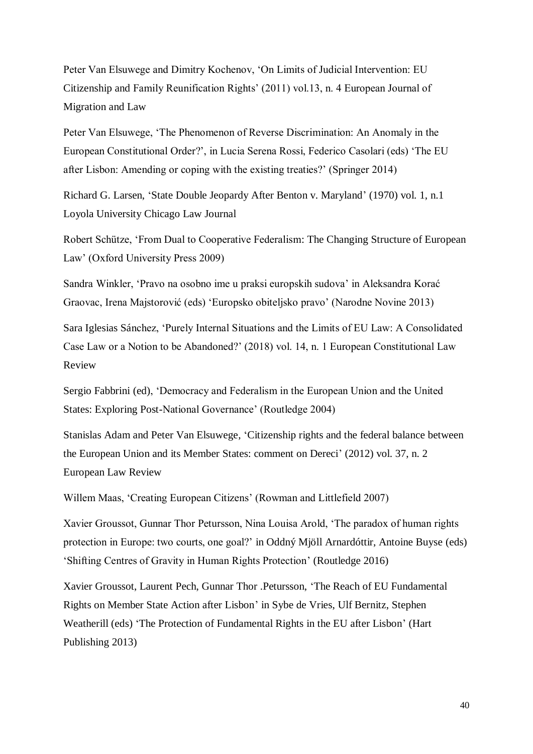Peter Van Elsuwege and Dimitry Kochenov, 'On Limits of Judicial Intervention: EU Citizenship and Family Reunification Rights' (2011) vol.13, n. 4 European Journal of Migration and Law

Peter Van Elsuwege, 'The Phenomenon of Reverse Discrimination: An Anomaly in the European Constitutional Order?', in Lucia Serena Rossi, Federico Casolari (eds) 'The EU after Lisbon: Amending or coping with the existing treaties?' (Springer 2014)

Richard G. Larsen, 'State Double Jeopardy After Benton v. Maryland' (1970) vol. 1, n.1 Loyola University Chicago Law Journal

Robert Schütze, 'From Dual to Cooperative Federalism: The Changing Structure of European Law' (Oxford University Press 2009)

Sandra Winkler, 'Pravo na osobno ime u praksi europskih sudova' in Aleksandra Korać Graovac, Irena Majstorović (eds) 'Europsko obiteljsko pravo' (Narodne Novine 2013)

Sara Iglesias Sánchez, 'Purely Internal Situations and the Limits of EU Law: A Consolidated Case Law or a Notion to be Abandoned?' (2018) vol. 14, n. 1 European Constitutional Law Review

Sergio Fabbrini (ed), 'Democracy and Federalism in the European Union and the United States: Exploring Post-National Governance' (Routledge 2004)

Stanislas Adam and Peter Van Elsuwege, 'Citizenship rights and the federal balance between the European Union and its Member States: comment on Dereci' (2012) vol. 37, n. 2 European Law Review

Willem Maas, 'Creating European Citizens' (Rowman and Littlefield 2007)

Xavier Groussot, Gunnar Thor Petursson, Nina Louisa Arold, 'The paradox of human rights protection in Europe: two courts, one goal?' in Oddný Mjöll Arnardóttir, Antoine Buyse (eds) 'Shifting Centres of Gravity in Human Rights Protection' (Routledge 2016)

Xavier Groussot, Laurent Pech, Gunnar Thor .Petursson, 'The Reach of EU Fundamental Rights on Member State Action after Lisbon' in Sybe de Vries, Ulf Bernitz, Stephen Weatherill (eds) 'The Protection of Fundamental Rights in the EU after Lisbon' (Hart Publishing 2013)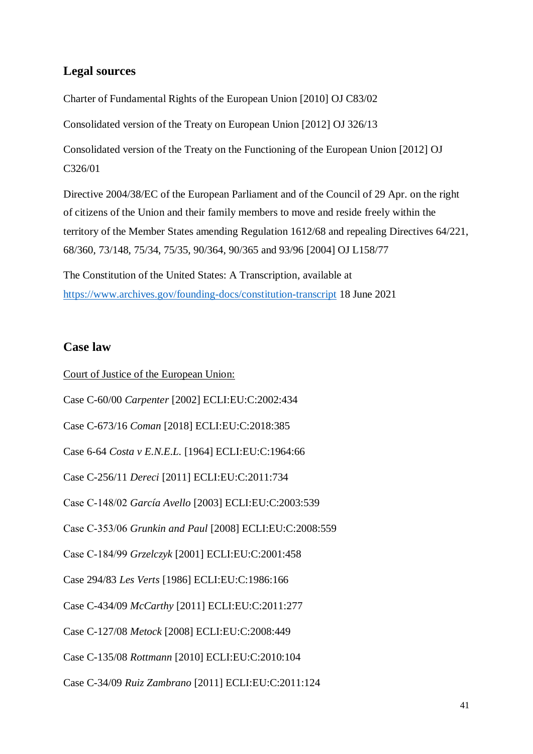### **Legal sources**

Charter of Fundamental Rights of the European Union [2010] OJ C83/02

Consolidated version of the Treaty on European Union [2012] OJ 326/13

Consolidated version of the Treaty on the Functioning of the European Union [2012] OJ C326/01

Directive 2004/38/EC of the European Parliament and of the Council of 29 Apr. on the right of citizens of the Union and their family members to move and reside freely within the territory of the Member States amending Regulation 1612/68 and repealing Directives 64/221, 68/360, 73/148, 75/34, 75/35, 90/364, 90/365 and 93/96 [2004] OJ L158/77

The Constitution of the United States: A Transcription, available at <https://www.archives.gov/founding-docs/constitution-transcript> 18 June 2021

### **Case law**

Court of Justice of the European Union: Case C-60/00 *Carpenter* [2002] ECLI:EU:C:2002:434 Case C-673/16 *Coman* [2018] ECLI:EU:C:2018:385 Case 6-64 *Costa v E.N.E.L.* [1964] ECLI:EU:C:1964:66 Case C-256/11 *Dereci* [2011] ECLI:EU:C:2011:734 Case C‑148/02 *García Avello* [2003] ECLI:EU:C:2003:539 Case C‑353/06 *Grunkin and Paul* [2008] ECLI:EU:C:2008:559 Case C‑184/99 *Grzelczyk* [2001] ECLI:EU:C:2001:458 Case 294/83 *Les Verts* [1986] ECLI:EU:C:1986:166 Case C-434/09 *McCarthy* [2011] ECLI:EU:C:2011:277 Case C-127/08 *Metock* [2008] ECLI:EU:C:2008:449 Case C-135/08 *Rottmann* [2010] ECLI:EU:C:2010:104 Case C-34/09 *Ruiz Zambrano* [2011] ECLI:EU:C:2011:124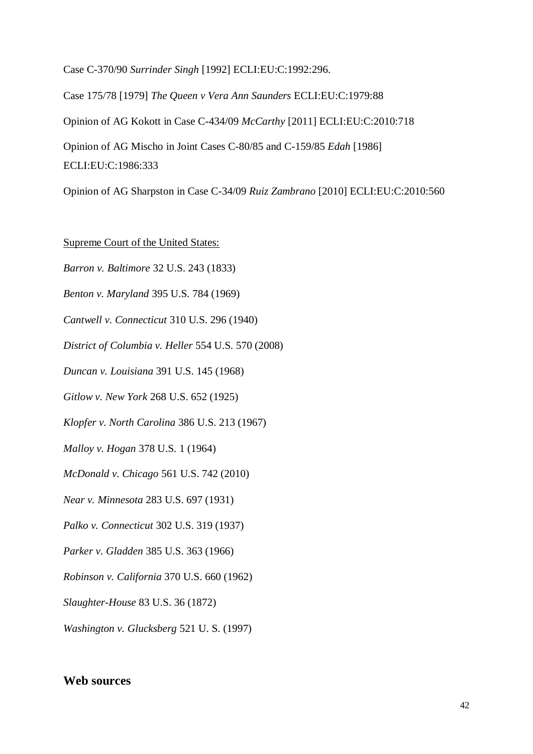Case C-370/90 *Surrinder Singh* [1992] ECLI:EU:C:1992:296.

Case 175/78 [1979] *The Queen v Vera Ann Saunders* ECLI:EU:C:1979:88 Opinion of AG Kokott in Case C-434/09 *McCarthy* [2011] ECLI:EU:C:2010:718 Opinion of AG Mischo in Joint Cases C-80/85 and C-159/85 *Edah* [1986] ECLI:EU:C:1986:333

Opinion of AG Sharpston in Case C-34/09 *Ruiz Zambrano* [2010] ECLI:EU:C:2010:560

Supreme Court of the United States:

*Barron v. Baltimore* 32 U.S. 243 (1833)

*Benton v. Maryland* 395 U.S. 784 (1969)

*Cantwell v. Connecticut* 310 U.S. 296 (1940)

*District of Columbia v. Heller* 554 U.S. 570 (2008)

*Duncan v. Louisiana* 391 U.S. 145 (1968)

*Gitlow v. New York* 268 U.S. 652 (1925)

*Klopfer v. North Carolina* 386 U.S. 213 (1967)

*Malloy v. Hogan* 378 U.S. 1 (1964)

*McDonald v. Chicago* 561 U.S. 742 (2010)

*Near v. Minnesota* 283 U.S. 697 (1931)

*Palko v. Connecticut* 302 U.S. 319 (1937)

*Parker v. Gladden* 385 U.S. 363 (1966)

*Robinson v. California* 370 U.S. 660 (1962)

*Slaughter-House* 83 U.S. 36 (1872)

*Washington v. Glucksberg* 521 U. S. (1997)

### **Web sources**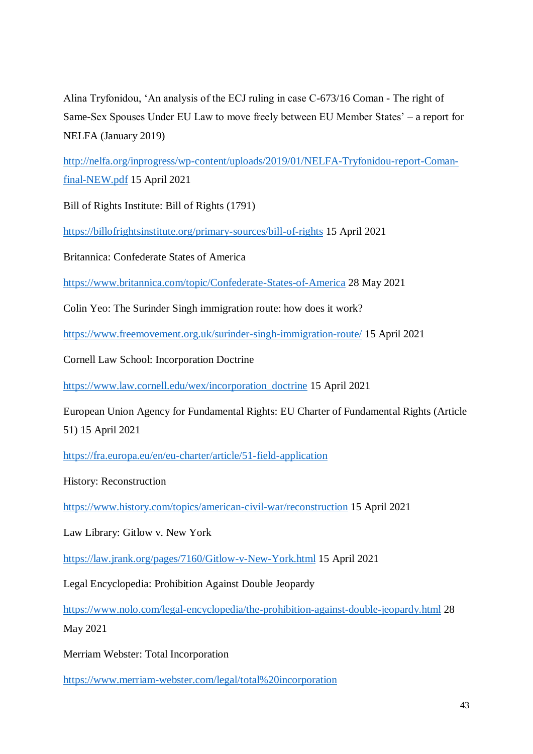Alina Tryfonidou, 'An analysis of the ECJ ruling in case C-673/16 Coman - The right of Same-Sex Spouses Under EU Law to move freely between EU Member States' – a report for NELFA (January 2019)

[http://nelfa.org/inprogress/wp-content/uploads/2019/01/NELFA-Tryfonidou-report-Coman](http://nelfa.org/inprogress/wp-content/uploads/2019/01/NELFA-Tryfonidou-report-Coman-final-NEW.pdf)[final-NEW.pdf](http://nelfa.org/inprogress/wp-content/uploads/2019/01/NELFA-Tryfonidou-report-Coman-final-NEW.pdf) 15 April 2021

Bill of Rights Institute: Bill of Rights (1791)

<https://billofrightsinstitute.org/primary-sources/bill-of-rights> 15 April 2021

Britannica: Confederate States of America

<https://www.britannica.com/topic/Confederate-States-of-America> 28 May 2021

Colin Yeo: The Surinder Singh immigration route: how does it work?

<https://www.freemovement.org.uk/surinder-singh-immigration-route/> 15 April 2021

Cornell Law School: Incorporation Doctrine

[https://www.law.cornell.edu/wex/incorporation\\_doctrine](https://www.law.cornell.edu/wex/incorporation_doctrine) 15 April 2021

European Union Agency for Fundamental Rights: EU Charter of Fundamental Rights (Article 51) 15 April 2021

<https://fra.europa.eu/en/eu-charter/article/51-field-application>

History: Reconstruction

<https://www.history.com/topics/american-civil-war/reconstruction> 15 April 2021

Law Library: Gitlow v. New York

<https://law.jrank.org/pages/7160/Gitlow-v-New-York.html> 15 April 2021

Legal Encyclopedia: Prohibition Against Double Jeopardy

<https://www.nolo.com/legal-encyclopedia/the-prohibition-against-double-jeopardy.html> 28 May 2021

Merriam Webster: Total Incorporation

<https://www.merriam-webster.com/legal/total%20incorporation>